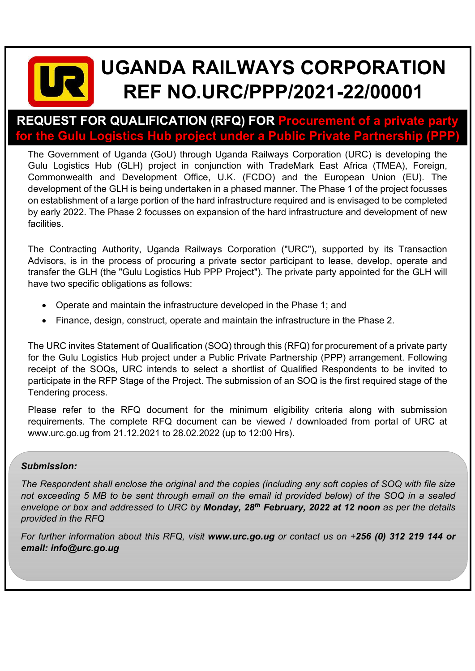## UGANDA RAILWAYS CORPORATION REF NO.URC/PPP/2021-22/00001

## REQUEST FOR QUALIFICATION (RFQ) FOR Procurement of a private party the Gulu Logistics Hub project under a Public Private Partnership

The Government of Uganda (GoU) through Uganda Railways Corporation (URC) is developing the Gulu Logistics Hub (GLH) project in conjunction with TradeMark East Africa (TMEA), Foreign, Commonwealth and Development Office, U.K. (FCDO) and the European Union (EU). The development of the GLH is being undertaken in a phased manner. The Phase 1 of the project focusses on establishment of a large portion of the hard infrastructure required and is envisaged to be completed by early 2022. The Phase 2 focusses on expansion of the hard infrastructure and development of new facilities.

The Contracting Authority, Uganda Railways Corporation ("URC"), supported by its Transaction Advisors, is in the process of procuring a private sector participant to lease, develop, operate and transfer the GLH (the "Gulu Logistics Hub PPP Project"). The private party appointed for the GLH will have two specific obligations as follows:

- Operate and maintain the infrastructure developed in the Phase 1; and
- Finance, design, construct, operate and maintain the infrastructure in the Phase 2.

The URC invites Statement of Qualification (SOQ) through this (RFQ) for procurement of a private party for the Gulu Logistics Hub project under a Public Private Partnership (PPP) arrangement. Following receipt of the SOQs, URC intends to select a shortlist of Qualified Respondents to be invited to participate in the RFP Stage of the Project. The submission of an SOQ is the first required stage of the Tendering process.

Please refer to the RFQ document for the minimum eligibility criteria along with submission requirements. The complete RFQ document can be viewed / downloaded from portal of URC at www.urc.go.ug from 21.12.2021 to 28.02.2022 (up to 12:00 Hrs).

#### Submission:

The Respondent shall enclose the original and the copies (including any soft copies of SOQ with file size not exceeding 5 MB to be sent through email on the email id provided below) of the SOQ in a sealed envelope or box and addressed to URC by Monday,  $28<sup>th</sup>$  February, 2022 at 12 noon as per the details provided in the RFQ

For further information about this RFQ, visit www.urc.go.ug or contact us on +256 (0) 312 219 144 or email: info@urc.go.ug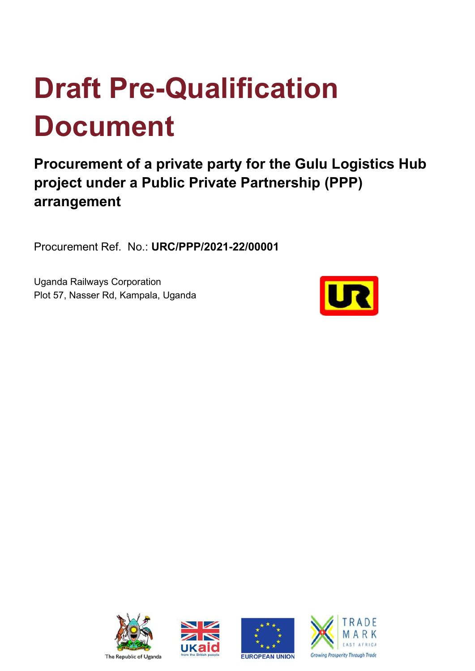# Draft Pre-Qualification Document

Procurement of a private party for the Gulu Logistics Hub project under a Public Private Partnership (PPP) arrangement

Procurement Ref. No.: URC/PPP/2021-22/00001

Uganda Railways Corporation Plot 57, Nasser Rd, Kampala, Uganda









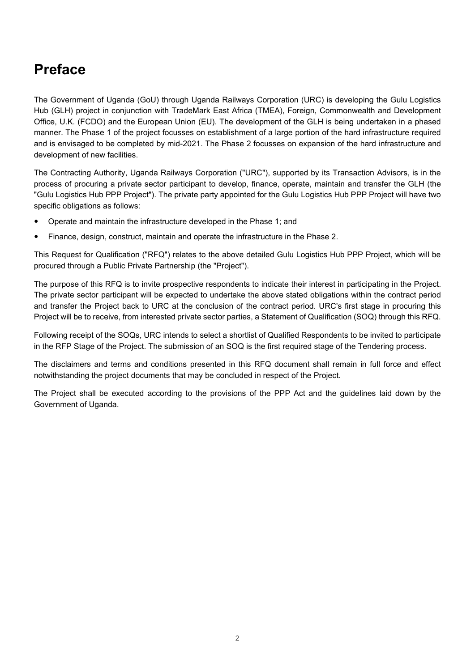## Preface

The Government of Uganda (GoU) through Uganda Railways Corporation (URC) is developing the Gulu Logistics Hub (GLH) project in conjunction with TradeMark East Africa (TMEA), Foreign, Commonwealth and Development Office, U.K. (FCDO) and the European Union (EU). The development of the GLH is being undertaken in a phased manner. The Phase 1 of the project focusses on establishment of a large portion of the hard infrastructure required and is envisaged to be completed by mid-2021. The Phase 2 focusses on expansion of the hard infrastructure and development of new facilities.

The Contracting Authority, Uganda Railways Corporation ("URC"), supported by its Transaction Advisors, is in the process of procuring a private sector participant to develop, finance, operate, maintain and transfer the GLH (the "Gulu Logistics Hub PPP Project"). The private party appointed for the Gulu Logistics Hub PPP Project will have two specific obligations as follows:

- Operate and maintain the infrastructure developed in the Phase 1; and
- Finance, design, construct, maintain and operate the infrastructure in the Phase 2.

This Request for Qualification ("RFQ") relates to the above detailed Gulu Logistics Hub PPP Project, which will be procured through a Public Private Partnership (the "Project").

The purpose of this RFQ is to invite prospective respondents to indicate their interest in participating in the Project. The private sector participant will be expected to undertake the above stated obligations within the contract period and transfer the Project back to URC at the conclusion of the contract period. URC's first stage in procuring this Project will be to receive, from interested private sector parties, a Statement of Qualification (SOQ) through this RFQ.

Following receipt of the SOQs, URC intends to select a shortlist of Qualified Respondents to be invited to participate in the RFP Stage of the Project. The submission of an SOQ is the first required stage of the Tendering process.

The disclaimers and terms and conditions presented in this RFQ document shall remain in full force and effect notwithstanding the project documents that may be concluded in respect of the Project.

The Project shall be executed according to the provisions of the PPP Act and the guidelines laid down by the Government of Uganda.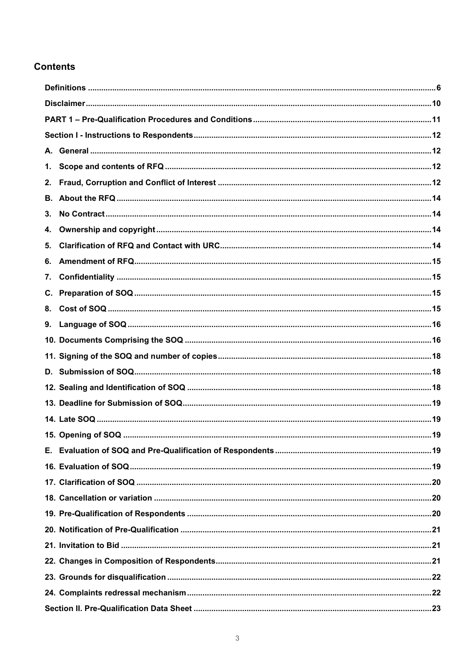#### **Contents**

| 1. |  |  |  |  |  |  |
|----|--|--|--|--|--|--|
| 2. |  |  |  |  |  |  |
|    |  |  |  |  |  |  |
| 3. |  |  |  |  |  |  |
| 4. |  |  |  |  |  |  |
| 5. |  |  |  |  |  |  |
| 6. |  |  |  |  |  |  |
| 7. |  |  |  |  |  |  |
| C. |  |  |  |  |  |  |
| 8. |  |  |  |  |  |  |
| 9. |  |  |  |  |  |  |
|    |  |  |  |  |  |  |
|    |  |  |  |  |  |  |
|    |  |  |  |  |  |  |
|    |  |  |  |  |  |  |
|    |  |  |  |  |  |  |
|    |  |  |  |  |  |  |
|    |  |  |  |  |  |  |
|    |  |  |  |  |  |  |
|    |  |  |  |  |  |  |
|    |  |  |  |  |  |  |
|    |  |  |  |  |  |  |
|    |  |  |  |  |  |  |
|    |  |  |  |  |  |  |
|    |  |  |  |  |  |  |
|    |  |  |  |  |  |  |
|    |  |  |  |  |  |  |
|    |  |  |  |  |  |  |
|    |  |  |  |  |  |  |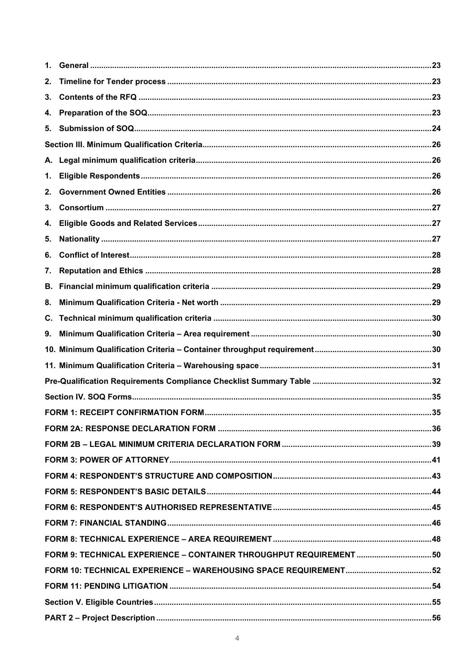| 1. |                                                                    |  |
|----|--------------------------------------------------------------------|--|
| 2. |                                                                    |  |
| 3. |                                                                    |  |
| 4. |                                                                    |  |
| 5. |                                                                    |  |
|    |                                                                    |  |
|    |                                                                    |  |
| 1. |                                                                    |  |
| 2. |                                                                    |  |
| З. |                                                                    |  |
| 4. |                                                                    |  |
| 5. |                                                                    |  |
| 6. |                                                                    |  |
| 7. |                                                                    |  |
| В. |                                                                    |  |
| 8. |                                                                    |  |
| C. |                                                                    |  |
| 9. |                                                                    |  |
|    |                                                                    |  |
|    |                                                                    |  |
|    |                                                                    |  |
|    |                                                                    |  |
|    |                                                                    |  |
|    |                                                                    |  |
|    |                                                                    |  |
|    |                                                                    |  |
|    |                                                                    |  |
|    |                                                                    |  |
|    |                                                                    |  |
|    |                                                                    |  |
|    |                                                                    |  |
|    | FORM 9: TECHNICAL EXPERIENCE - CONTAINER THROUGHPUT REQUIREMENT 50 |  |
|    |                                                                    |  |
|    |                                                                    |  |
|    |                                                                    |  |
|    |                                                                    |  |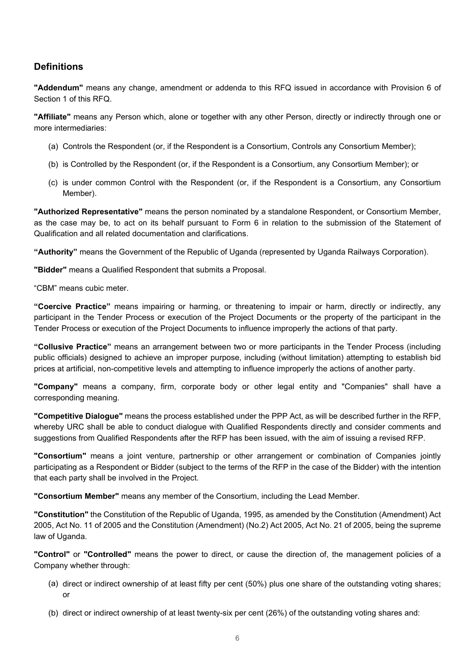#### **Definitions**

"Addendum" means any change, amendment or addenda to this RFQ issued in accordance with Provision 6 of Section 1 of this RFQ.

"Affiliate" means any Person which, alone or together with any other Person, directly or indirectly through one or more intermediaries:

- (a) Controls the Respondent (or, if the Respondent is a Consortium, Controls any Consortium Member);
- (b) is Controlled by the Respondent (or, if the Respondent is a Consortium, any Consortium Member); or
- (c) is under common Control with the Respondent (or, if the Respondent is a Consortium, any Consortium Member).

"Authorized Representative" means the person nominated by a standalone Respondent, or Consortium Member, as the case may be, to act on its behalf pursuant to Form 6 in relation to the submission of the Statement of Qualification and all related documentation and clarifications.

"Authority" means the Government of the Republic of Uganda (represented by Uganda Railways Corporation).

"Bidder" means a Qualified Respondent that submits a Proposal.

"CBM" means cubic meter.

"Coercive Practice" means impairing or harming, or threatening to impair or harm, directly or indirectly, any participant in the Tender Process or execution of the Project Documents or the property of the participant in the Tender Process or execution of the Project Documents to influence improperly the actions of that party.

"Collusive Practice" means an arrangement between two or more participants in the Tender Process (including public officials) designed to achieve an improper purpose, including (without limitation) attempting to establish bid prices at artificial, non-competitive levels and attempting to influence improperly the actions of another party.

"Company" means a company, firm, corporate body or other legal entity and "Companies" shall have a corresponding meaning.

"Competitive Dialogue" means the process established under the PPP Act, as will be described further in the RFP, whereby URC shall be able to conduct dialogue with Qualified Respondents directly and consider comments and suggestions from Qualified Respondents after the RFP has been issued, with the aim of issuing a revised RFP.

"Consortium" means a joint venture, partnership or other arrangement or combination of Companies jointly participating as a Respondent or Bidder (subject to the terms of the RFP in the case of the Bidder) with the intention that each party shall be involved in the Project.

"Consortium Member" means any member of the Consortium, including the Lead Member.

"Constitution" the Constitution of the Republic of Uganda, 1995, as amended by the Constitution (Amendment) Act 2005, Act No. 11 of 2005 and the Constitution (Amendment) (No.2) Act 2005, Act No. 21 of 2005, being the supreme law of Uganda.

"Control" or "Controlled" means the power to direct, or cause the direction of, the management policies of a Company whether through:

- (a) direct or indirect ownership of at least fifty per cent (50%) plus one share of the outstanding voting shares; or
- (b) direct or indirect ownership of at least twenty-six per cent (26%) of the outstanding voting shares and: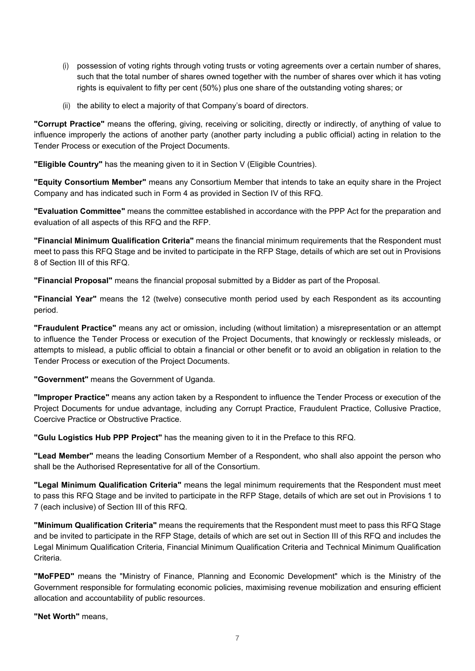- (i) possession of voting rights through voting trusts or voting agreements over a certain number of shares, such that the total number of shares owned together with the number of shares over which it has voting rights is equivalent to fifty per cent (50%) plus one share of the outstanding voting shares; or
- (ii) the ability to elect a majority of that Company's board of directors.

"Corrupt Practice" means the offering, giving, receiving or soliciting, directly or indirectly, of anything of value to influence improperly the actions of another party (another party including a public official) acting in relation to the Tender Process or execution of the Project Documents.

"Eligible Country" has the meaning given to it in Section V (Eligible Countries).

"Equity Consortium Member" means any Consortium Member that intends to take an equity share in the Project Company and has indicated such in Form 4 as provided in Section IV of this RFQ.

"Evaluation Committee" means the committee established in accordance with the PPP Act for the preparation and evaluation of all aspects of this RFQ and the RFP.

"Financial Minimum Qualification Criteria" means the financial minimum requirements that the Respondent must meet to pass this RFQ Stage and be invited to participate in the RFP Stage, details of which are set out in Provisions 8 of Section III of this RFQ.

"Financial Proposal" means the financial proposal submitted by a Bidder as part of the Proposal.

"Financial Year" means the 12 (twelve) consecutive month period used by each Respondent as its accounting period.

"Fraudulent Practice" means any act or omission, including (without limitation) a misrepresentation or an attempt to influence the Tender Process or execution of the Project Documents, that knowingly or recklessly misleads, or attempts to mislead, a public official to obtain a financial or other benefit or to avoid an obligation in relation to the Tender Process or execution of the Project Documents.

"Government" means the Government of Uganda.

"Improper Practice" means any action taken by a Respondent to influence the Tender Process or execution of the Project Documents for undue advantage, including any Corrupt Practice, Fraudulent Practice, Collusive Practice, Coercive Practice or Obstructive Practice.

"Gulu Logistics Hub PPP Project" has the meaning given to it in the Preface to this RFQ.

"Lead Member" means the leading Consortium Member of a Respondent, who shall also appoint the person who shall be the Authorised Representative for all of the Consortium.

"Legal Minimum Qualification Criteria" means the legal minimum requirements that the Respondent must meet to pass this RFQ Stage and be invited to participate in the RFP Stage, details of which are set out in Provisions 1 to 7 (each inclusive) of Section III of this RFQ.

"Minimum Qualification Criteria" means the requirements that the Respondent must meet to pass this RFQ Stage and be invited to participate in the RFP Stage, details of which are set out in Section III of this RFQ and includes the Legal Minimum Qualification Criteria, Financial Minimum Qualification Criteria and Technical Minimum Qualification Criteria.

"MoFPED" means the "Ministry of Finance, Planning and Economic Development" which is the Ministry of the Government responsible for formulating economic policies, maximising revenue mobilization and ensuring efficient allocation and accountability of public resources.

"Net Worth" means,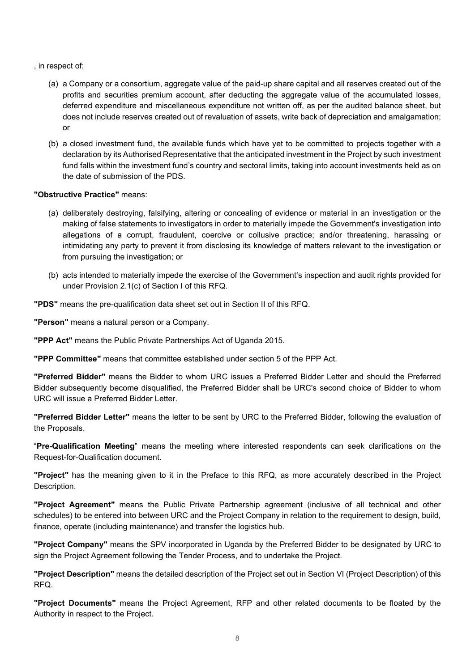, in respect of:

- (a) a Company or a consortium, aggregate value of the paid-up share capital and all reserves created out of the profits and securities premium account, after deducting the aggregate value of the accumulated losses, deferred expenditure and miscellaneous expenditure not written off, as per the audited balance sheet, but does not include reserves created out of revaluation of assets, write back of depreciation and amalgamation; or
- (b) a closed investment fund, the available funds which have yet to be committed to projects together with a declaration by its Authorised Representative that the anticipated investment in the Project by such investment fund falls within the investment fund's country and sectoral limits, taking into account investments held as on the date of submission of the PDS.

#### "Obstructive Practice" means:

- (a) deliberately destroying, falsifying, altering or concealing of evidence or material in an investigation or the making of false statements to investigators in order to materially impede the Government's investigation into allegations of a corrupt, fraudulent, coercive or collusive practice; and/or threatening, harassing or intimidating any party to prevent it from disclosing its knowledge of matters relevant to the investigation or from pursuing the investigation; or
- (b) acts intended to materially impede the exercise of the Government's inspection and audit rights provided for under Provision 2.1(c) of Section I of this RFQ.

"PDS" means the pre-qualification data sheet set out in Section II of this RFQ.

"Person" means a natural person or a Company.

"PPP Act" means the Public Private Partnerships Act of Uganda 2015.

"PPP Committee" means that committee established under section 5 of the PPP Act.

"Preferred Bidder" means the Bidder to whom URC issues a Preferred Bidder Letter and should the Preferred Bidder subsequently become disqualified, the Preferred Bidder shall be URC's second choice of Bidder to whom URC will issue a Preferred Bidder Letter.

"Preferred Bidder Letter" means the letter to be sent by URC to the Preferred Bidder, following the evaluation of the Proposals.

"Pre-Qualification Meeting" means the meeting where interested respondents can seek clarifications on the Request-for-Qualification document.

"Project" has the meaning given to it in the Preface to this RFQ, as more accurately described in the Project Description.

"Project Agreement" means the Public Private Partnership agreement (inclusive of all technical and other schedules) to be entered into between URC and the Project Company in relation to the requirement to design, build, finance, operate (including maintenance) and transfer the logistics hub.

"Project Company" means the SPV incorporated in Uganda by the Preferred Bidder to be designated by URC to sign the Project Agreement following the Tender Process, and to undertake the Project.

"Project Description" means the detailed description of the Project set out in Section VI (Project Description) of this RFQ.

"Project Documents" means the Project Agreement, RFP and other related documents to be floated by the Authority in respect to the Project.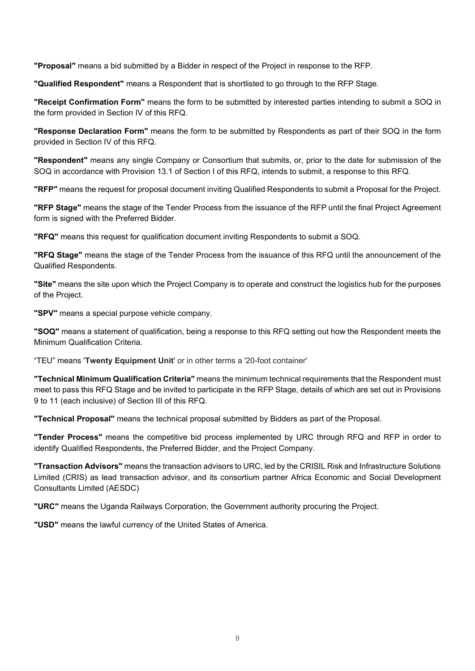"Proposal" means a bid submitted by a Bidder in respect of the Project in response to the RFP.

"Qualified Respondent" means a Respondent that is shortlisted to go through to the RFP Stage.

"Receipt Confirmation Form" means the form to be submitted by interested parties intending to submit a SOQ in the form provided in Section IV of this RFQ.

"Response Declaration Form" means the form to be submitted by Respondents as part of their SOQ in the form provided in Section IV of this RFQ.

"Respondent" means any single Company or Consortium that submits, or, prior to the date for submission of the SOQ in accordance with Provision 13.1 of Section I of this RFQ, intends to submit, a response to this RFQ.

"RFP" means the request for proposal document inviting Qualified Respondents to submit a Proposal for the Project.

"RFP Stage" means the stage of the Tender Process from the issuance of the RFP until the final Project Agreement form is signed with the Preferred Bidder.

"RFQ" means this request for qualification document inviting Respondents to submit a SOQ.

"RFQ Stage" means the stage of the Tender Process from the issuance of this RFQ until the announcement of the Qualified Respondents.

"Site" means the site upon which the Project Company is to operate and construct the logistics hub for the purposes of the Project.

"SPV" means a special purpose vehicle company.

"SOQ" means a statement of qualification, being a response to this RFQ setting out how the Respondent meets the Minimum Qualification Criteria.

"TEU" means 'Twenty Equipment Unit' or in other terms a '20-foot container'

"Technical Minimum Qualification Criteria" means the minimum technical requirements that the Respondent must meet to pass this RFQ Stage and be invited to participate in the RFP Stage, details of which are set out in Provisions 9 to 11 (each inclusive) of Section III of this RFQ.

"Technical Proposal" means the technical proposal submitted by Bidders as part of the Proposal.

"Tender Process" means the competitive bid process implemented by URC through RFQ and RFP in order to identify Qualified Respondents, the Preferred Bidder, and the Project Company.

"Transaction Advisors" means the transaction advisors to URC, led by the CRISIL Risk and Infrastructure Solutions Limited (CRIS) as lead transaction advisor, and its consortium partner Africa Economic and Social Development Consultants Limited (AESDC)

"URC" means the Uganda Railways Corporation, the Government authority procuring the Project.

"USD" means the lawful currency of the United States of America.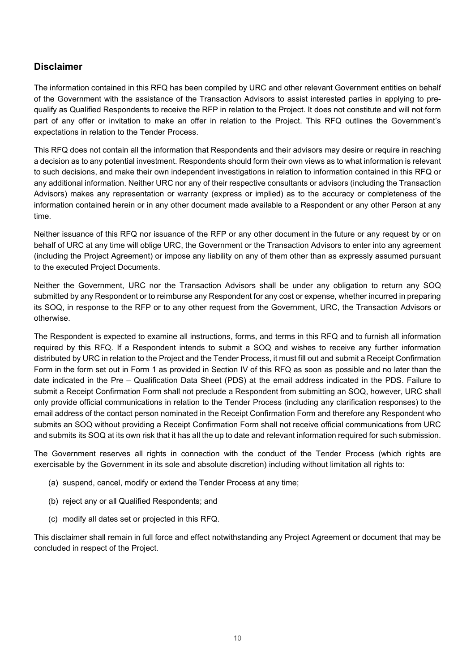#### Disclaimer

The information contained in this RFQ has been compiled by URC and other relevant Government entities on behalf of the Government with the assistance of the Transaction Advisors to assist interested parties in applying to prequalify as Qualified Respondents to receive the RFP in relation to the Project. It does not constitute and will not form part of any offer or invitation to make an offer in relation to the Project. This RFQ outlines the Government's expectations in relation to the Tender Process.

This RFQ does not contain all the information that Respondents and their advisors may desire or require in reaching a decision as to any potential investment. Respondents should form their own views as to what information is relevant to such decisions, and make their own independent investigations in relation to information contained in this RFQ or any additional information. Neither URC nor any of their respective consultants or advisors (including the Transaction Advisors) makes any representation or warranty (express or implied) as to the accuracy or completeness of the information contained herein or in any other document made available to a Respondent or any other Person at any time.

Neither issuance of this RFQ nor issuance of the RFP or any other document in the future or any request by or on behalf of URC at any time will oblige URC, the Government or the Transaction Advisors to enter into any agreement (including the Project Agreement) or impose any liability on any of them other than as expressly assumed pursuant to the executed Project Documents.

Neither the Government, URC nor the Transaction Advisors shall be under any obligation to return any SOQ submitted by any Respondent or to reimburse any Respondent for any cost or expense, whether incurred in preparing its SOQ, in response to the RFP or to any other request from the Government, URC, the Transaction Advisors or otherwise.

The Respondent is expected to examine all instructions, forms, and terms in this RFQ and to furnish all information required by this RFQ. If a Respondent intends to submit a SOQ and wishes to receive any further information distributed by URC in relation to the Project and the Tender Process, it must fill out and submit a Receipt Confirmation Form in the form set out in Form 1 as provided in Section IV of this RFQ as soon as possible and no later than the date indicated in the Pre – Qualification Data Sheet (PDS) at the email address indicated in the PDS. Failure to submit a Receipt Confirmation Form shall not preclude a Respondent from submitting an SOQ, however, URC shall only provide official communications in relation to the Tender Process (including any clarification responses) to the email address of the contact person nominated in the Receipt Confirmation Form and therefore any Respondent who submits an SOQ without providing a Receipt Confirmation Form shall not receive official communications from URC and submits its SOQ at its own risk that it has all the up to date and relevant information required for such submission.

The Government reserves all rights in connection with the conduct of the Tender Process (which rights are exercisable by the Government in its sole and absolute discretion) including without limitation all rights to:

- (a) suspend, cancel, modify or extend the Tender Process at any time;
- (b) reject any or all Qualified Respondents; and
- (c) modify all dates set or projected in this RFQ.

This disclaimer shall remain in full force and effect notwithstanding any Project Agreement or document that may be concluded in respect of the Project.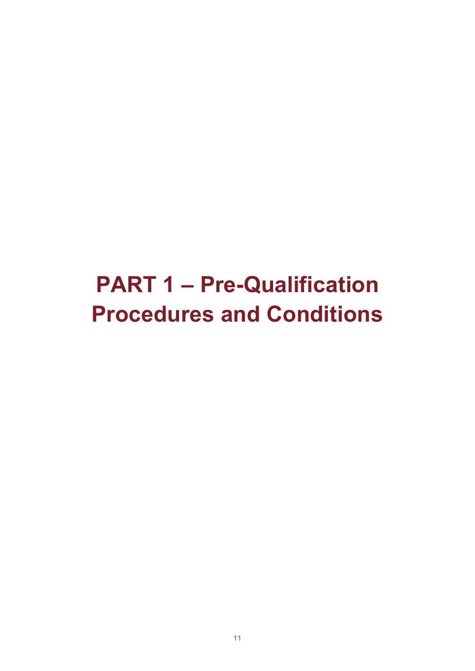## PART 1 – Pre-Qualification Procedures and Conditions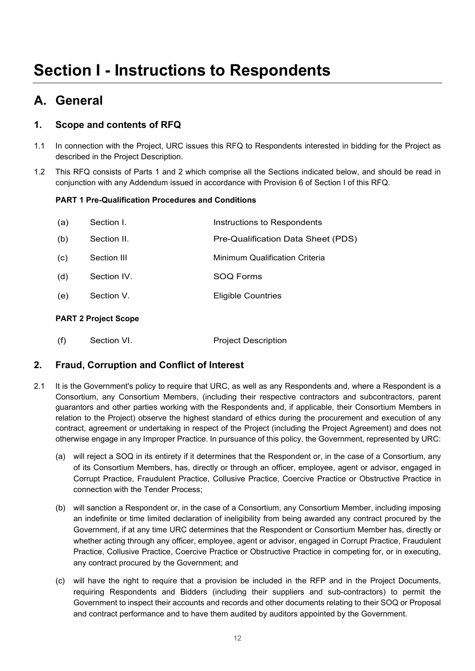## Section I - Instructions to Respondents

## A. General

#### 1. Scope and contents of RFQ

- 1.1 In connection with the Project, URC issues this RFQ to Respondents interested in bidding for the Project as described in the Project Description.
- 1.2 This RFQ consists of Parts 1 and 2 which comprise all the Sections indicated below, and should be read in conjunction with any Addendum issued in accordance with Provision 6 of Section I of this RFQ.

#### PART 1 Pre-Qualification Procedures and Conditions

| Pre-Qualification Data Sheet (PDS) |
|------------------------------------|
|                                    |
|                                    |
|                                    |
|                                    |

#### PART 2 Project Scope

| (f) | Section VI. | <b>Project Description</b> |
|-----|-------------|----------------------------|
|     |             |                            |

#### 2. Fraud, Corruption and Conflict of Interest

- 2.1 It is the Government's policy to require that URC, as well as any Respondents and, where a Respondent is a Consortium, any Consortium Members, (including their respective contractors and subcontractors, parent guarantors and other parties working with the Respondents and, if applicable, their Consortium Members in relation to the Project) observe the highest standard of ethics during the procurement and execution of any contract, agreement or undertaking in respect of the Project (including the Project Agreement) and does not otherwise engage in any Improper Practice. In pursuance of this policy, the Government, represented by URC:
	- (a) will reject a SOQ in its entirety if it determines that the Respondent or, in the case of a Consortium, any of its Consortium Members, has, directly or through an officer, employee, agent or advisor, engaged in Corrupt Practice, Fraudulent Practice, Collusive Practice, Coercive Practice or Obstructive Practice in connection with the Tender Process;
	- (b) will sanction a Respondent or, in the case of a Consortium, any Consortium Member, including imposing an indefinite or time limited declaration of ineligibility from being awarded any contract procured by the Government, if at any time URC determines that the Respondent or Consortium Member has, directly or whether acting through any officer, employee, agent or advisor, engaged in Corrupt Practice, Fraudulent Practice, Collusive Practice, Coercive Practice or Obstructive Practice in competing for, or in executing, any contract procured by the Government; and
	- (c) will have the right to require that a provision be included in the RFP and in the Project Documents, requiring Respondents and Bidders (including their suppliers and sub-contractors) to permit the Government to inspect their accounts and records and other documents relating to their SOQ or Proposal and contract performance and to have them audited by auditors appointed by the Government.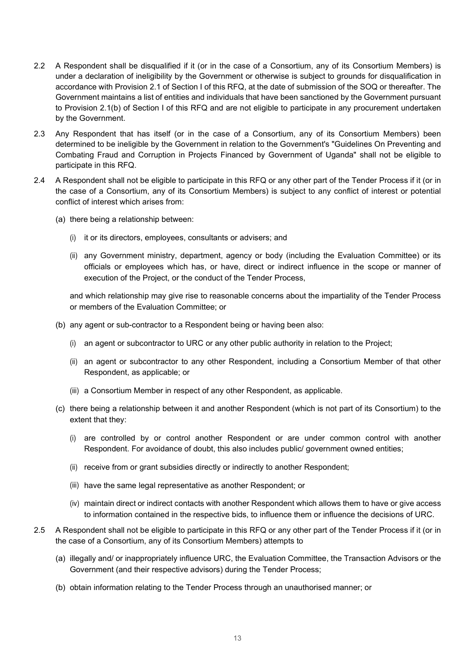- 2.2 A Respondent shall be disqualified if it (or in the case of a Consortium, any of its Consortium Members) is under a declaration of ineligibility by the Government or otherwise is subject to grounds for disqualification in accordance with Provision 2.1 of Section I of this RFQ, at the date of submission of the SOQ or thereafter. The Government maintains a list of entities and individuals that have been sanctioned by the Government pursuant to Provision 2.1(b) of Section I of this RFQ and are not eligible to participate in any procurement undertaken by the Government.
- 2.3 Any Respondent that has itself (or in the case of a Consortium, any of its Consortium Members) been determined to be ineligible by the Government in relation to the Government's "Guidelines On Preventing and Combating Fraud and Corruption in Projects Financed by Government of Uganda" shall not be eligible to participate in this RFQ.
- 2.4 A Respondent shall not be eligible to participate in this RFQ or any other part of the Tender Process if it (or in the case of a Consortium, any of its Consortium Members) is subject to any conflict of interest or potential conflict of interest which arises from:
	- (a) there being a relationship between:
		- (i) it or its directors, employees, consultants or advisers; and
		- (ii) any Government ministry, department, agency or body (including the Evaluation Committee) or its officials or employees which has, or have, direct or indirect influence in the scope or manner of execution of the Project, or the conduct of the Tender Process,

and which relationship may give rise to reasonable concerns about the impartiality of the Tender Process or members of the Evaluation Committee; or

- (b) any agent or sub-contractor to a Respondent being or having been also:
	- (i) an agent or subcontractor to URC or any other public authority in relation to the Project;
	- (ii) an agent or subcontractor to any other Respondent, including a Consortium Member of that other Respondent, as applicable; or
	- (iii) a Consortium Member in respect of any other Respondent, as applicable.
- (c) there being a relationship between it and another Respondent (which is not part of its Consortium) to the extent that they:
	- (i) are controlled by or control another Respondent or are under common control with another Respondent. For avoidance of doubt, this also includes public/ government owned entities;
	- (ii) receive from or grant subsidies directly or indirectly to another Respondent;
	- (iii) have the same legal representative as another Respondent; or
	- (iv) maintain direct or indirect contacts with another Respondent which allows them to have or give access to information contained in the respective bids, to influence them or influence the decisions of URC.
- 2.5 A Respondent shall not be eligible to participate in this RFQ or any other part of the Tender Process if it (or in the case of a Consortium, any of its Consortium Members) attempts to
	- (a) illegally and/ or inappropriately influence URC, the Evaluation Committee, the Transaction Advisors or the Government (and their respective advisors) during the Tender Process;
	- (b) obtain information relating to the Tender Process through an unauthorised manner; or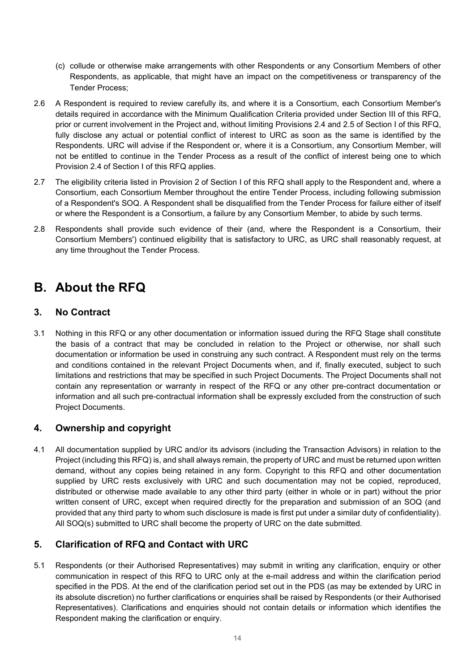- (c) collude or otherwise make arrangements with other Respondents or any Consortium Members of other Respondents, as applicable, that might have an impact on the competitiveness or transparency of the Tender Process;
- 2.6 A Respondent is required to review carefully its, and where it is a Consortium, each Consortium Member's details required in accordance with the Minimum Qualification Criteria provided under Section III of this RFQ, prior or current involvement in the Project and, without limiting Provisions 2.4 and 2.5 of Section I of this RFQ, fully disclose any actual or potential conflict of interest to URC as soon as the same is identified by the Respondents. URC will advise if the Respondent or, where it is a Consortium, any Consortium Member, will not be entitled to continue in the Tender Process as a result of the conflict of interest being one to which Provision 2.4 of Section I of this RFQ applies.
- 2.7 The eligibility criteria listed in Provision 2 of Section I of this RFQ shall apply to the Respondent and, where a Consortium, each Consortium Member throughout the entire Tender Process, including following submission of a Respondent's SOQ. A Respondent shall be disqualified from the Tender Process for failure either of itself or where the Respondent is a Consortium, a failure by any Consortium Member, to abide by such terms.
- 2.8 Respondents shall provide such evidence of their (and, where the Respondent is a Consortium, their Consortium Members') continued eligibility that is satisfactory to URC, as URC shall reasonably request, at any time throughout the Tender Process.

### B. About the RFQ

#### 3. No Contract

3.1 Nothing in this RFQ or any other documentation or information issued during the RFQ Stage shall constitute the basis of a contract that may be concluded in relation to the Project or otherwise, nor shall such documentation or information be used in construing any such contract. A Respondent must rely on the terms and conditions contained in the relevant Project Documents when, and if, finally executed, subject to such limitations and restrictions that may be specified in such Project Documents. The Project Documents shall not contain any representation or warranty in respect of the RFQ or any other pre-contract documentation or information and all such pre-contractual information shall be expressly excluded from the construction of such Project Documents.

#### 4. Ownership and copyright

4.1 All documentation supplied by URC and/or its advisors (including the Transaction Advisors) in relation to the Project (including this RFQ) is, and shall always remain, the property of URC and must be returned upon written demand, without any copies being retained in any form. Copyright to this RFQ and other documentation supplied by URC rests exclusively with URC and such documentation may not be copied, reproduced, distributed or otherwise made available to any other third party (either in whole or in part) without the prior written consent of URC, except when required directly for the preparation and submission of an SOQ (and provided that any third party to whom such disclosure is made is first put under a similar duty of confidentiality). All SOQ(s) submitted to URC shall become the property of URC on the date submitted.

#### 5. Clarification of RFQ and Contact with URC

5.1 Respondents (or their Authorised Representatives) may submit in writing any clarification, enquiry or other communication in respect of this RFQ to URC only at the e-mail address and within the clarification period specified in the PDS. At the end of the clarification period set out in the PDS (as may be extended by URC in its absolute discretion) no further clarifications or enquiries shall be raised by Respondents (or their Authorised Representatives). Clarifications and enquiries should not contain details or information which identifies the Respondent making the clarification or enquiry.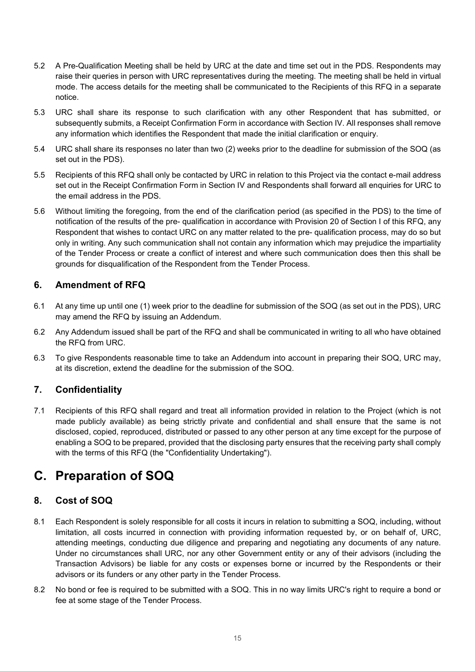- 5.2 A Pre-Qualification Meeting shall be held by URC at the date and time set out in the PDS. Respondents may raise their queries in person with URC representatives during the meeting. The meeting shall be held in virtual mode. The access details for the meeting shall be communicated to the Recipients of this RFQ in a separate notice.
- 5.3 URC shall share its response to such clarification with any other Respondent that has submitted, or subsequently submits, a Receipt Confirmation Form in accordance with Section IV. All responses shall remove any information which identifies the Respondent that made the initial clarification or enquiry.
- 5.4 URC shall share its responses no later than two (2) weeks prior to the deadline for submission of the SOQ (as set out in the PDS).
- 5.5 Recipients of this RFQ shall only be contacted by URC in relation to this Project via the contact e-mail address set out in the Receipt Confirmation Form in Section IV and Respondents shall forward all enquiries for URC to the email address in the PDS.
- 5.6 Without limiting the foregoing, from the end of the clarification period (as specified in the PDS) to the time of notification of the results of the pre- qualification in accordance with Provision 20 of Section I of this RFQ, any Respondent that wishes to contact URC on any matter related to the pre- qualification process, may do so but only in writing. Any such communication shall not contain any information which may prejudice the impartiality of the Tender Process or create a conflict of interest and where such communication does then this shall be grounds for disqualification of the Respondent from the Tender Process.

#### 6. Amendment of RFQ

- 6.1 At any time up until one (1) week prior to the deadline for submission of the SOQ (as set out in the PDS), URC may amend the RFQ by issuing an Addendum.
- 6.2 Any Addendum issued shall be part of the RFQ and shall be communicated in writing to all who have obtained the RFQ from URC.
- 6.3 To give Respondents reasonable time to take an Addendum into account in preparing their SOQ, URC may, at its discretion, extend the deadline for the submission of the SOQ.

#### 7. Confidentiality

7.1 Recipients of this RFQ shall regard and treat all information provided in relation to the Project (which is not made publicly available) as being strictly private and confidential and shall ensure that the same is not disclosed, copied, reproduced, distributed or passed to any other person at any time except for the purpose of enabling a SOQ to be prepared, provided that the disclosing party ensures that the receiving party shall comply with the terms of this RFQ (the "Confidentiality Undertaking").

### C. Preparation of SOQ

#### 8. Cost of SOQ

- 8.1 Each Respondent is solely responsible for all costs it incurs in relation to submitting a SOQ, including, without limitation, all costs incurred in connection with providing information requested by, or on behalf of, URC, attending meetings, conducting due diligence and preparing and negotiating any documents of any nature. Under no circumstances shall URC, nor any other Government entity or any of their advisors (including the Transaction Advisors) be liable for any costs or expenses borne or incurred by the Respondents or their advisors or its funders or any other party in the Tender Process.
- 8.2 No bond or fee is required to be submitted with a SOQ. This in no way limits URC's right to require a bond or fee at some stage of the Tender Process.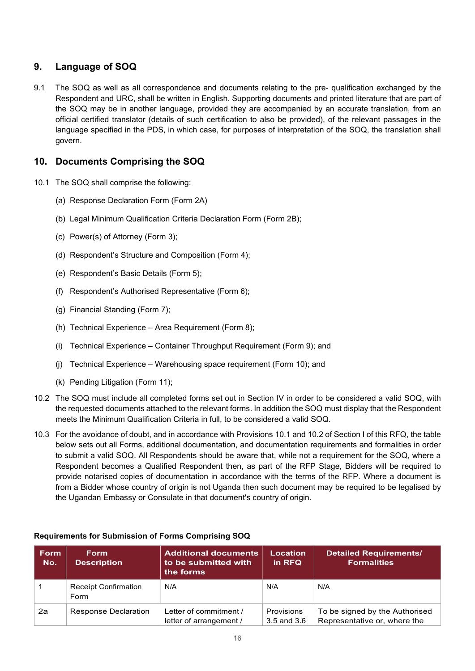#### 9. Language of SOQ

9.1 The SOQ as well as all correspondence and documents relating to the pre- qualification exchanged by the Respondent and URC, shall be written in English. Supporting documents and printed literature that are part of the SOQ may be in another language, provided they are accompanied by an accurate translation, from an official certified translator (details of such certification to also be provided), of the relevant passages in the language specified in the PDS, in which case, for purposes of interpretation of the SOQ, the translation shall govern.

#### 10. Documents Comprising the SOQ

- 10.1 The SOQ shall comprise the following:
	- (a) Response Declaration Form (Form 2A)
	- (b) Legal Minimum Qualification Criteria Declaration Form (Form 2B);
	- (c) Power(s) of Attorney (Form 3);
	- (d) Respondent's Structure and Composition (Form 4);
	- (e) Respondent's Basic Details (Form 5);
	- (f) Respondent's Authorised Representative (Form 6);
	- (g) Financial Standing (Form 7);
	- (h) Technical Experience Area Requirement (Form 8);
	- (i) Technical Experience Container Throughput Requirement (Form 9); and
	- (j) Technical Experience Warehousing space requirement (Form 10); and
	- (k) Pending Litigation (Form 11);
- 10.2 The SOQ must include all completed forms set out in Section IV in order to be considered a valid SOQ, with the requested documents attached to the relevant forms. In addition the SOQ must display that the Respondent meets the Minimum Qualification Criteria in full, to be considered a valid SOQ.
- 10.3 For the avoidance of doubt, and in accordance with Provisions 10.1 and 10.2 of Section I of this RFQ, the table below sets out all Forms, additional documentation, and documentation requirements and formalities in order to submit a valid SOQ. All Respondents should be aware that, while not a requirement for the SOQ, where a Respondent becomes a Qualified Respondent then, as part of the RFP Stage, Bidders will be required to provide notarised copies of documentation in accordance with the terms of the RFP. Where a document is from a Bidder whose country of origin is not Uganda then such document may be required to be legalised by the Ugandan Embassy or Consulate in that document's country of origin.

| <b>Form</b><br>No. | <b>Additional documents</b><br><b>Form</b><br>to be submitted with<br><b>Description</b><br>the forms |                                                   | <b>Location</b><br>in RFQ | <b>Detailed Requirements/</b><br><b>Formalities</b>            |
|--------------------|-------------------------------------------------------------------------------------------------------|---------------------------------------------------|---------------------------|----------------------------------------------------------------|
|                    | <b>Receipt Confirmation</b><br>Form                                                                   | N/A                                               | N/A                       | N/A                                                            |
| 2a                 | Response Declaration                                                                                  | Letter of commitment /<br>letter of arrangement / | Provisions<br>3.5 and 3.6 | To be signed by the Authorised<br>Representative or, where the |

#### Requirements for Submission of Forms Comprising SOQ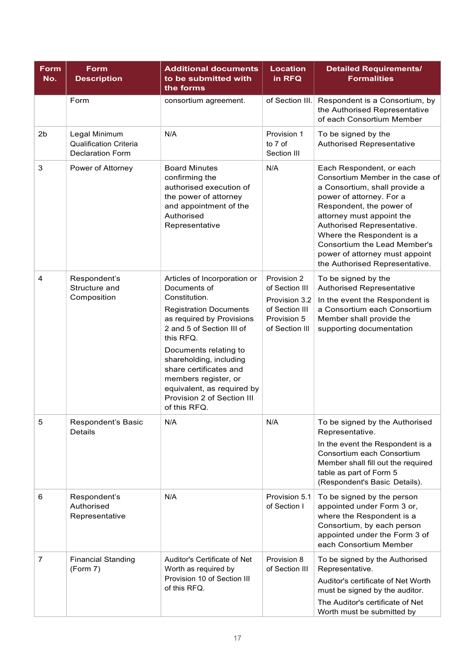| <b>Form</b><br>No. | <b>Additional documents</b><br><b>Form</b><br>to be submitted with<br><b>Description</b><br>the forms |                                                                                                                                                                                                                                                                                                                                                         | <b>Location</b><br>in RFQ                                                                         | <b>Detailed Requirements/</b><br><b>Formalities</b>                                                                                                                                                                                                                                                                                               |
|--------------------|-------------------------------------------------------------------------------------------------------|---------------------------------------------------------------------------------------------------------------------------------------------------------------------------------------------------------------------------------------------------------------------------------------------------------------------------------------------------------|---------------------------------------------------------------------------------------------------|---------------------------------------------------------------------------------------------------------------------------------------------------------------------------------------------------------------------------------------------------------------------------------------------------------------------------------------------------|
|                    | Form                                                                                                  | consortium agreement.                                                                                                                                                                                                                                                                                                                                   | of Section III.                                                                                   | Respondent is a Consortium, by<br>the Authorised Representative<br>of each Consortium Member                                                                                                                                                                                                                                                      |
| 2 <sub>b</sub>     | Legal Minimum<br><b>Qualification Criteria</b><br><b>Declaration Form</b>                             | N/A                                                                                                                                                                                                                                                                                                                                                     | Provision 1<br>to 7 of<br>Section III                                                             | To be signed by the<br><b>Authorised Representative</b>                                                                                                                                                                                                                                                                                           |
| 3                  | Power of Attorney                                                                                     | <b>Board Minutes</b><br>confirming the<br>authorised execution of<br>the power of attorney<br>and appointment of the<br>Authorised<br>Representative                                                                                                                                                                                                    | N/A                                                                                               | Each Respondent, or each<br>Consortium Member in the case of<br>a Consortium, shall provide a<br>power of attorney. For a<br>Respondent, the power of<br>attorney must appoint the<br>Authorised Representative.<br>Where the Respondent is a<br>Consortium the Lead Member's<br>power of attorney must appoint<br>the Authorised Representative. |
| 4                  | Respondent's<br>Structure and<br>Composition                                                          | Articles of Incorporation or<br>Documents of<br>Constitution.<br><b>Registration Documents</b><br>as required by Provisions<br>2 and 5 of Section III of<br>this RFQ.<br>Documents relating to<br>shareholding, including<br>share certificates and<br>members register, or<br>equivalent, as required by<br>Provision 2 of Section III<br>of this RFQ. | Provision 2<br>of Section III<br>Provision 3.2<br>of Section III<br>Provision 5<br>of Section III | To be signed by the<br><b>Authorised Representative</b><br>In the event the Respondent is<br>a Consortium each Consortium<br>Member shall provide the<br>supporting documentation                                                                                                                                                                 |
| 5                  | Respondent's Basic<br>Details                                                                         | N/A                                                                                                                                                                                                                                                                                                                                                     | N/A                                                                                               | To be signed by the Authorised<br>Representative.<br>In the event the Respondent is a<br>Consortium each Consortium<br>Member shall fill out the required<br>table as part of Form 5<br>(Respondent's Basic Details).                                                                                                                             |
| 6                  | Respondent's<br>Authorised<br>Representative                                                          | N/A                                                                                                                                                                                                                                                                                                                                                     | Provision 5.1<br>of Section I                                                                     | To be signed by the person<br>appointed under Form 3 or,<br>where the Respondent is a<br>Consortium, by each person<br>appointed under the Form 3 of<br>each Consortium Member                                                                                                                                                                    |
| $\overline{7}$     | <b>Financial Standing</b><br>(Form 7)                                                                 | Auditor's Certificate of Net<br>Worth as required by<br>Provision 10 of Section III<br>of this RFQ.                                                                                                                                                                                                                                                     | Provision 8<br>of Section III                                                                     | To be signed by the Authorised<br>Representative.<br>Auditor's certificate of Net Worth<br>must be signed by the auditor.<br>The Auditor's certificate of Net<br>Worth must be submitted by                                                                                                                                                       |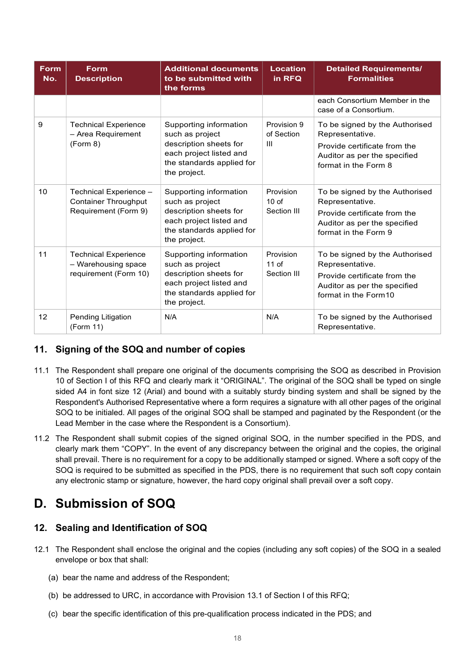| <b>Form</b><br>No. | <b>Form</b><br><b>Description</b>                                             | <b>Additional documents</b><br>to be submitted with<br>the forms                                                                            |                                              | <b>Detailed Requirements/</b><br><b>Formalities</b>                                                                                       |  |
|--------------------|-------------------------------------------------------------------------------|---------------------------------------------------------------------------------------------------------------------------------------------|----------------------------------------------|-------------------------------------------------------------------------------------------------------------------------------------------|--|
|                    |                                                                               |                                                                                                                                             |                                              | each Consortium Member in the<br>case of a Consortium.                                                                                    |  |
| 9                  | <b>Technical Experience</b><br>- Area Requirement<br>(Form 8)                 | Supporting information<br>such as project<br>description sheets for<br>each project listed and<br>the standards applied for<br>the project. | Provision 9<br>of Section<br>$\mathbf{III}$  | To be signed by the Authorised<br>Representative.<br>Provide certificate from the<br>Auditor as per the specified<br>format in the Form 8 |  |
| 10                 | Technical Experience -<br><b>Container Throughput</b><br>Requirement (Form 9) | Supporting information<br>such as project<br>description sheets for<br>each project listed and<br>the standards applied for<br>the project. | Provision<br>10 <sub>of</sub><br>Section III | To be signed by the Authorised<br>Representative.<br>Provide certificate from the<br>Auditor as per the specified<br>format in the Form 9 |  |
| 11                 | <b>Technical Experience</b><br>- Warehousing space<br>requirement (Form 10)   | Supporting information<br>such as project<br>description sheets for<br>each project listed and<br>the standards applied for<br>the project. | Provision<br>$11$ of<br>Section III          | To be signed by the Authorised<br>Representative.<br>Provide certificate from the<br>Auditor as per the specified<br>format in the Form10 |  |
| 12                 | <b>Pending Litigation</b><br>(Form 11)                                        | N/A                                                                                                                                         | N/A                                          | To be signed by the Authorised<br>Representative.                                                                                         |  |

#### 11. Signing of the SOQ and number of copies

- 11.1 The Respondent shall prepare one original of the documents comprising the SOQ as described in Provision 10 of Section I of this RFQ and clearly mark it "ORIGINAL". The original of the SOQ shall be typed on single sided A4 in font size 12 (Arial) and bound with a suitably sturdy binding system and shall be signed by the Respondent's Authorised Representative where a form requires a signature with all other pages of the original SOQ to be initialed. All pages of the original SOQ shall be stamped and paginated by the Respondent (or the Lead Member in the case where the Respondent is a Consortium).
- 11.2 The Respondent shall submit copies of the signed original SOQ, in the number specified in the PDS, and clearly mark them "COPY". In the event of any discrepancy between the original and the copies, the original shall prevail. There is no requirement for a copy to be additionally stamped or signed. Where a soft copy of the SOQ is required to be submitted as specified in the PDS, there is no requirement that such soft copy contain any electronic stamp or signature, however, the hard copy original shall prevail over a soft copy.

## D. Submission of SOQ

### 12. Sealing and Identification of SOQ

- 12.1 The Respondent shall enclose the original and the copies (including any soft copies) of the SOQ in a sealed envelope or box that shall:
	- (a) bear the name and address of the Respondent;
	- (b) be addressed to URC, in accordance with Provision 13.1 of Section I of this RFQ;
	- (c) bear the specific identification of this pre-qualification process indicated in the PDS; and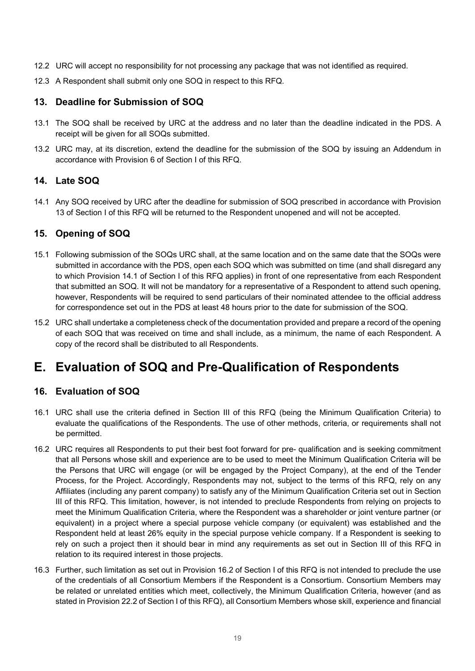- 12.2 URC will accept no responsibility for not processing any package that was not identified as required.
- 12.3 A Respondent shall submit only one SOQ in respect to this RFQ.

#### 13. Deadline for Submission of SOQ

- 13.1 The SOQ shall be received by URC at the address and no later than the deadline indicated in the PDS. A receipt will be given for all SOQs submitted.
- 13.2 URC may, at its discretion, extend the deadline for the submission of the SOQ by issuing an Addendum in accordance with Provision 6 of Section I of this RFQ.

#### 14. Late SOQ

14.1 Any SOQ received by URC after the deadline for submission of SOQ prescribed in accordance with Provision 13 of Section I of this RFQ will be returned to the Respondent unopened and will not be accepted.

#### 15. Opening of SOQ

- 15.1 Following submission of the SOQs URC shall, at the same location and on the same date that the SOQs were submitted in accordance with the PDS, open each SOQ which was submitted on time (and shall disregard any to which Provision 14.1 of Section I of this RFQ applies) in front of one representative from each Respondent that submitted an SOQ. It will not be mandatory for a representative of a Respondent to attend such opening, however, Respondents will be required to send particulars of their nominated attendee to the official address for correspondence set out in the PDS at least 48 hours prior to the date for submission of the SOQ.
- 15.2 URC shall undertake a completeness check of the documentation provided and prepare a record of the opening of each SOQ that was received on time and shall include, as a minimum, the name of each Respondent. A copy of the record shall be distributed to all Respondents.

## E. Evaluation of SOQ and Pre-Qualification of Respondents

#### 16. Evaluation of SOQ

- 16.1 URC shall use the criteria defined in Section III of this RFQ (being the Minimum Qualification Criteria) to evaluate the qualifications of the Respondents. The use of other methods, criteria, or requirements shall not be permitted.
- 16.2 URC requires all Respondents to put their best foot forward for pre- qualification and is seeking commitment that all Persons whose skill and experience are to be used to meet the Minimum Qualification Criteria will be the Persons that URC will engage (or will be engaged by the Project Company), at the end of the Tender Process, for the Project. Accordingly, Respondents may not, subject to the terms of this RFQ, rely on any Affiliates (including any parent company) to satisfy any of the Minimum Qualification Criteria set out in Section III of this RFQ. This limitation, however, is not intended to preclude Respondents from relying on projects to meet the Minimum Qualification Criteria, where the Respondent was a shareholder or joint venture partner (or equivalent) in a project where a special purpose vehicle company (or equivalent) was established and the Respondent held at least 26% equity in the special purpose vehicle company. If a Respondent is seeking to rely on such a project then it should bear in mind any requirements as set out in Section III of this RFQ in relation to its required interest in those projects.
- 16.3 Further, such limitation as set out in Provision 16.2 of Section I of this RFQ is not intended to preclude the use of the credentials of all Consortium Members if the Respondent is a Consortium. Consortium Members may be related or unrelated entities which meet, collectively, the Minimum Qualification Criteria, however (and as stated in Provision 22.2 of Section I of this RFQ), all Consortium Members whose skill, experience and financial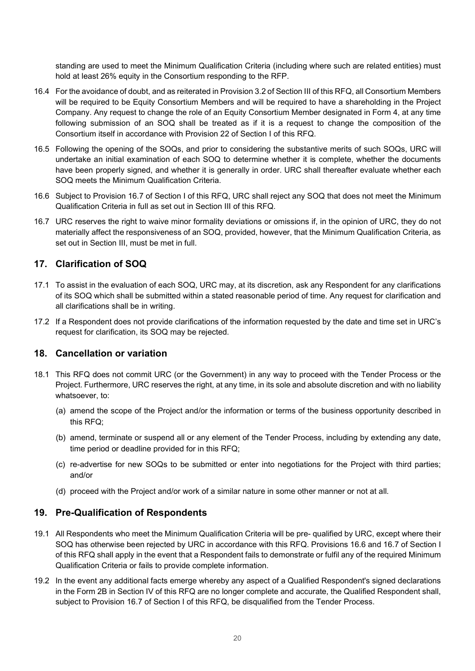standing are used to meet the Minimum Qualification Criteria (including where such are related entities) must hold at least 26% equity in the Consortium responding to the RFP.

- 16.4 For the avoidance of doubt, and as reiterated in Provision 3.2 of Section III of this RFQ, all Consortium Members will be required to be Equity Consortium Members and will be required to have a shareholding in the Project Company. Any request to change the role of an Equity Consortium Member designated in Form 4, at any time following submission of an SOQ shall be treated as if it is a request to change the composition of the Consortium itself in accordance with Provision 22 of Section I of this RFQ.
- 16.5 Following the opening of the SOQs, and prior to considering the substantive merits of such SOQs, URC will undertake an initial examination of each SOQ to determine whether it is complete, whether the documents have been properly signed, and whether it is generally in order. URC shall thereafter evaluate whether each SOQ meets the Minimum Qualification Criteria.
- 16.6 Subject to Provision 16.7 of Section I of this RFQ, URC shall reject any SOQ that does not meet the Minimum Qualification Criteria in full as set out in Section III of this RFQ.
- 16.7 URC reserves the right to waive minor formality deviations or omissions if, in the opinion of URC, they do not materially affect the responsiveness of an SOQ, provided, however, that the Minimum Qualification Criteria, as set out in Section III, must be met in full.

#### 17. Clarification of SOQ

- 17.1 To assist in the evaluation of each SOQ, URC may, at its discretion, ask any Respondent for any clarifications of its SOQ which shall be submitted within a stated reasonable period of time. Any request for clarification and all clarifications shall be in writing.
- 17.2 If a Respondent does not provide clarifications of the information requested by the date and time set in URC's request for clarification, its SOQ may be rejected.

#### 18. Cancellation or variation

- 18.1 This RFQ does not commit URC (or the Government) in any way to proceed with the Tender Process or the Project. Furthermore, URC reserves the right, at any time, in its sole and absolute discretion and with no liability whatsoever, to:
	- (a) amend the scope of the Project and/or the information or terms of the business opportunity described in this RFQ;
	- (b) amend, terminate or suspend all or any element of the Tender Process, including by extending any date, time period or deadline provided for in this RFQ;
	- (c) re-advertise for new SOQs to be submitted or enter into negotiations for the Project with third parties; and/or
	- (d) proceed with the Project and/or work of a similar nature in some other manner or not at all.

#### 19. Pre-Qualification of Respondents

- 19.1 All Respondents who meet the Minimum Qualification Criteria will be pre- qualified by URC, except where their SOQ has otherwise been rejected by URC in accordance with this RFQ. Provisions 16.6 and 16.7 of Section I of this RFQ shall apply in the event that a Respondent fails to demonstrate or fulfil any of the required Minimum Qualification Criteria or fails to provide complete information.
- 19.2 In the event any additional facts emerge whereby any aspect of a Qualified Respondent's signed declarations in the Form 2B in Section IV of this RFQ are no longer complete and accurate, the Qualified Respondent shall, subject to Provision 16.7 of Section I of this RFQ, be disqualified from the Tender Process.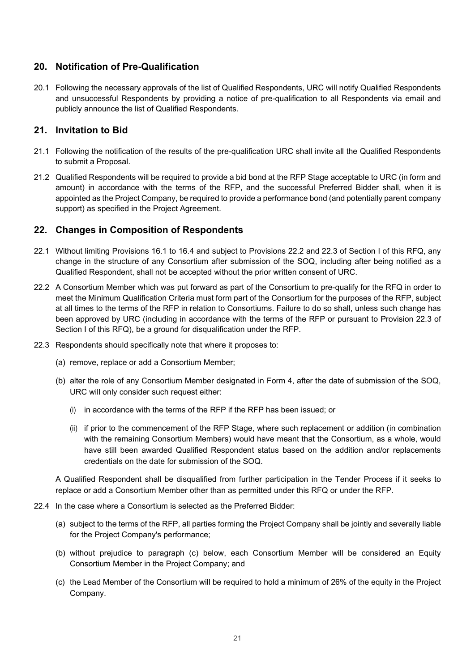#### 20. Notification of Pre-Qualification

20.1 Following the necessary approvals of the list of Qualified Respondents, URC will notify Qualified Respondents and unsuccessful Respondents by providing a notice of pre-qualification to all Respondents via email and publicly announce the list of Qualified Respondents.

#### 21. Invitation to Bid

- 21.1 Following the notification of the results of the pre-qualification URC shall invite all the Qualified Respondents to submit a Proposal.
- 21.2 Qualified Respondents will be required to provide a bid bond at the RFP Stage acceptable to URC (in form and amount) in accordance with the terms of the RFP, and the successful Preferred Bidder shall, when it is appointed as the Project Company, be required to provide a performance bond (and potentially parent company support) as specified in the Project Agreement.

#### 22. Changes in Composition of Respondents

- 22.1 Without limiting Provisions 16.1 to 16.4 and subject to Provisions 22.2 and 22.3 of Section I of this RFQ, any change in the structure of any Consortium after submission of the SOQ, including after being notified as a Qualified Respondent, shall not be accepted without the prior written consent of URC.
- 22.2 A Consortium Member which was put forward as part of the Consortium to pre-qualify for the RFQ in order to meet the Minimum Qualification Criteria must form part of the Consortium for the purposes of the RFP, subject at all times to the terms of the RFP in relation to Consortiums. Failure to do so shall, unless such change has been approved by URC (including in accordance with the terms of the RFP or pursuant to Provision 22.3 of Section I of this RFQ), be a ground for disqualification under the RFP.
- 22.3 Respondents should specifically note that where it proposes to:
	- (a) remove, replace or add a Consortium Member;
	- (b) alter the role of any Consortium Member designated in Form 4, after the date of submission of the SOQ, URC will only consider such request either:
		- (i) in accordance with the terms of the RFP if the RFP has been issued; or
		- (ii) if prior to the commencement of the RFP Stage, where such replacement or addition (in combination with the remaining Consortium Members) would have meant that the Consortium, as a whole, would have still been awarded Qualified Respondent status based on the addition and/or replacements credentials on the date for submission of the SOQ.

A Qualified Respondent shall be disqualified from further participation in the Tender Process if it seeks to replace or add a Consortium Member other than as permitted under this RFQ or under the RFP.

- 22.4 In the case where a Consortium is selected as the Preferred Bidder:
	- (a) subject to the terms of the RFP, all parties forming the Project Company shall be jointly and severally liable for the Project Company's performance;
	- (b) without prejudice to paragraph (c) below, each Consortium Member will be considered an Equity Consortium Member in the Project Company; and
	- (c) the Lead Member of the Consortium will be required to hold a minimum of 26% of the equity in the Project Company.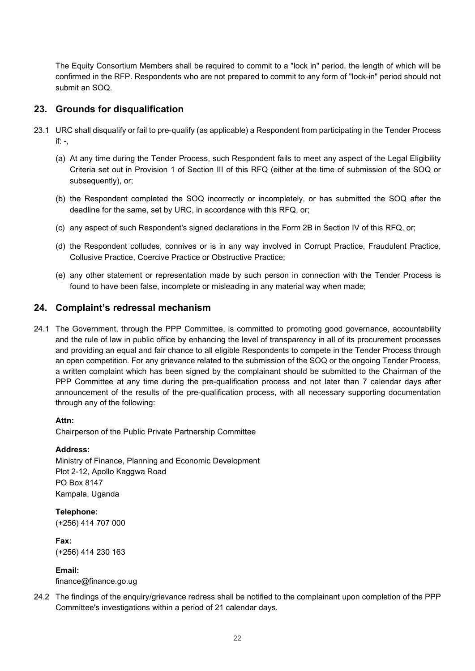The Equity Consortium Members shall be required to commit to a "lock in" period, the length of which will be confirmed in the RFP. Respondents who are not prepared to commit to any form of "lock-in" period should not submit an SOQ.

#### 23. Grounds for disqualification

- 23.1 URC shall disqualify or fail to pre-qualify (as applicable) a Respondent from participating in the Tender Process  $if: -$ .
	- (a) At any time during the Tender Process, such Respondent fails to meet any aspect of the Legal Eligibility Criteria set out in Provision 1 of Section III of this RFQ (either at the time of submission of the SOQ or subsequently), or;
	- (b) the Respondent completed the SOQ incorrectly or incompletely, or has submitted the SOQ after the deadline for the same, set by URC, in accordance with this RFQ, or;
	- (c) any aspect of such Respondent's signed declarations in the Form 2B in Section IV of this RFQ, or;
	- (d) the Respondent colludes, connives or is in any way involved in Corrupt Practice, Fraudulent Practice, Collusive Practice, Coercive Practice or Obstructive Practice;
	- (e) any other statement or representation made by such person in connection with the Tender Process is found to have been false, incomplete or misleading in any material way when made;

#### 24. Complaint's redressal mechanism

24.1 The Government, through the PPP Committee, is committed to promoting good governance, accountability and the rule of law in public office by enhancing the level of transparency in all of its procurement processes and providing an equal and fair chance to all eligible Respondents to compete in the Tender Process through an open competition. For any grievance related to the submission of the SOQ or the ongoing Tender Process, a written complaint which has been signed by the complainant should be submitted to the Chairman of the PPP Committee at any time during the pre-qualification process and not later than 7 calendar days after announcement of the results of the pre-qualification process, with all necessary supporting documentation through any of the following:

#### Attn:

Chairperson of the Public Private Partnership Committee

#### Address:

Ministry of Finance, Planning and Economic Development Plot 2-12, Apollo Kaggwa Road PO Box 8147 Kampala, Uganda

Telephone: (+256) 414 707 000

Fax: (+256) 414 230 163

Email:

finance@finance.go.ug

24.2 The findings of the enquiry/grievance redress shall be notified to the complainant upon completion of the PPP Committee's investigations within a period of 21 calendar days.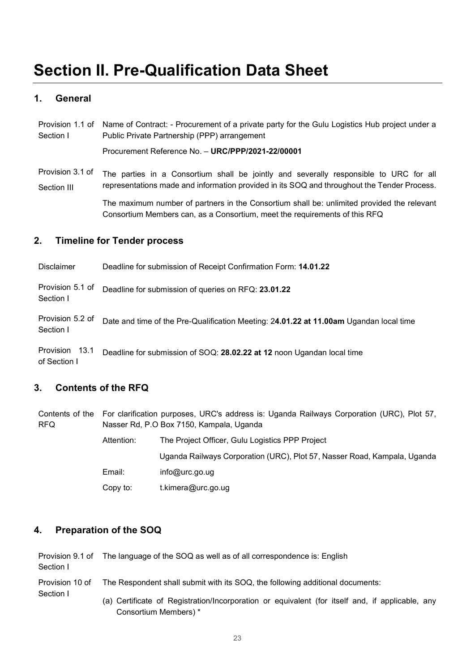## Section II. Pre-Qualification Data Sheet

#### 1. General

Provision 1.1 of Name of Contract: - Procurement of a private party for the Gulu Logistics Hub project under a Section I Public Private Partnership (PPP) arrangement Procurement Reference No. – URC/PPP/2021-22/00001 Provision 3.1 of Section III The parties in a Consortium shall be jointly and severally responsible to URC for all representations made and information provided in its SOQ and throughout the Tender Process. The maximum number of partners in the Consortium shall be: unlimited provided the relevant

Consortium Members can, as a Consortium, meet the requirements of this RFQ

#### 2. Timeline for Tender process

Disclaimer Deadline for submission of Receipt Confirmation Form: 14.01.22

Provision 5.1 of Section I Deadline for submission of queries on RFQ: 23.01.22

Provision 5.2 of Section I Date and time of the Pre-Qualification Meeting: 24.01.22 at 11.00am Ugandan local time

Provision 13.1 of Section I Deadline for submission of SOQ: 28.02.22 at 12 noon Ugandan local time

#### 3. Contents of the RFQ

| Contents of the<br>RFQ | For clarification purposes, URC's address is: Uganda Railways Corporation (URC), Plot 57,<br>Nasser Rd, P.O Box 7150, Kampala, Uganda |                                                                          |  |  |  |
|------------------------|---------------------------------------------------------------------------------------------------------------------------------------|--------------------------------------------------------------------------|--|--|--|
|                        | Attention:                                                                                                                            | The Project Officer, Gulu Logistics PPP Project                          |  |  |  |
|                        |                                                                                                                                       | Uganda Railways Corporation (URC), Plot 57, Nasser Road, Kampala, Uganda |  |  |  |
|                        | Email:                                                                                                                                | info@urc.qo.uq                                                           |  |  |  |
|                        | Copy to:                                                                                                                              | t.kimera@urc.go.ug                                                       |  |  |  |

#### 4. Preparation of the SOQ

Provision 9.1 of The language of the SOQ as well as of all correspondence is: English Section I Provision 10 of Section I The Respondent shall submit with its SOQ, the following additional documents: (a) Certificate of Registration/Incorporation or equivalent (for itself and, if applicable, any Consortium Members) \*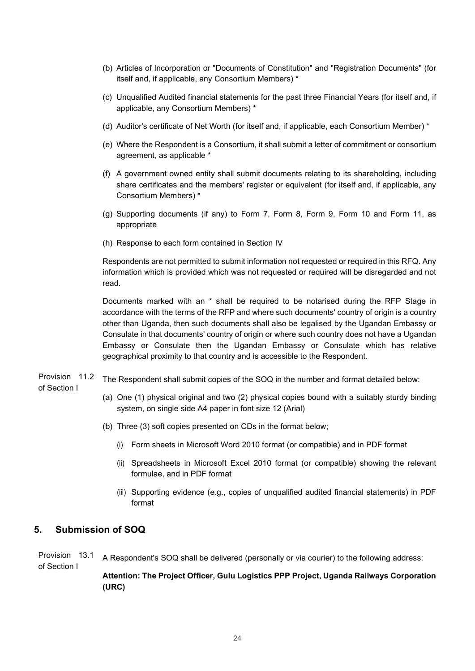- (b) Articles of Incorporation or "Documents of Constitution" and "Registration Documents" (for itself and, if applicable, any Consortium Members) \*
- (c) Unqualified Audited financial statements for the past three Financial Years (for itself and, if applicable, any Consortium Members) \*
- (d) Auditor's certificate of Net Worth (for itself and, if applicable, each Consortium Member) \*
- (e) Where the Respondent is a Consortium, it shall submit a letter of commitment or consortium agreement, as applicable \*
- (f) A government owned entity shall submit documents relating to its shareholding, including share certificates and the members' register or equivalent (for itself and, if applicable, any Consortium Members) \*
- (g) Supporting documents (if any) to Form 7, Form 8, Form 9, Form 10 and Form 11, as appropriate
- (h) Response to each form contained in Section IV

Respondents are not permitted to submit information not requested or required in this RFQ. Any information which is provided which was not requested or required will be disregarded and not read.

Documents marked with an \* shall be required to be notarised during the RFP Stage in accordance with the terms of the RFP and where such documents' country of origin is a country other than Uganda, then such documents shall also be legalised by the Ugandan Embassy or Consulate in that documents' country of origin or where such country does not have a Ugandan Embassy or Consulate then the Ugandan Embassy or Consulate which has relative geographical proximity to that country and is accessible to the Respondent.

Provision 11.2 The Respondent shall submit copies of the SOQ in the number and format detailed below:

- of Section I
- (a) One (1) physical original and two (2) physical copies bound with a suitably sturdy binding system, on single side A4 paper in font size 12 (Arial)
- (b) Three (3) soft copies presented on CDs in the format below;
	- (i) Form sheets in Microsoft Word 2010 format (or compatible) and in PDF format
	- (ii) Spreadsheets in Microsoft Excel 2010 format (or compatible) showing the relevant formulae, and in PDF format
	- (iii) Supporting evidence (e.g., copies of unqualified audited financial statements) in PDF format

#### 5. Submission of SOQ

Provision 13.1 of Section I A Respondent's SOQ shall be delivered (personally or via courier) to the following address:

#### Attention: The Project Officer, Gulu Logistics PPP Project, Uganda Railways Corporation (URC)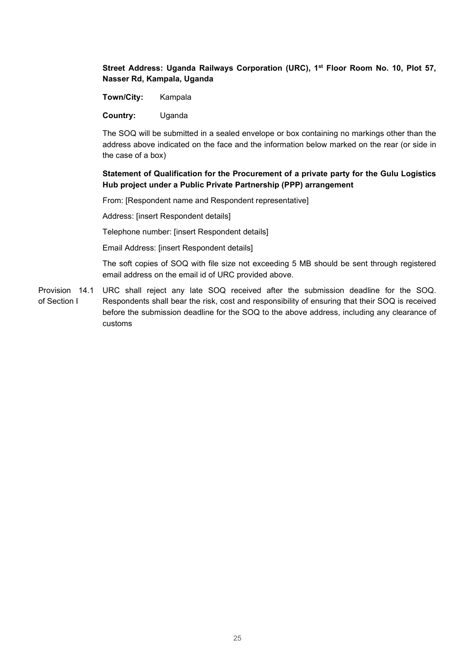#### Street Address: Uganda Railways Corporation (URC), 1<sup>st</sup> Floor Room No. 10, Plot 57, Nasser Rd, Kampala, Uganda

Town/City: Kampala

Country: Uganda

The SOQ will be submitted in a sealed envelope or box containing no markings other than the address above indicated on the face and the information below marked on the rear (or side in the case of a box)

#### Statement of Qualification for the Procurement of a private party for the Gulu Logistics Hub project under a Public Private Partnership (PPP) arrangement

From: [Respondent name and Respondent representative]

Address: [insert Respondent details]

Telephone number: [insert Respondent details]

Email Address: [insert Respondent details]

The soft copies of SOQ with file size not exceeding 5 MB should be sent through registered email address on the email id of URC provided above.

Provision 14.1 URC shall reject any late SOQ received after the submission deadline for the SOQ. of Section I Respondents shall bear the risk, cost and responsibility of ensuring that their SOQ is received before the submission deadline for the SOQ to the above address, including any clearance of customs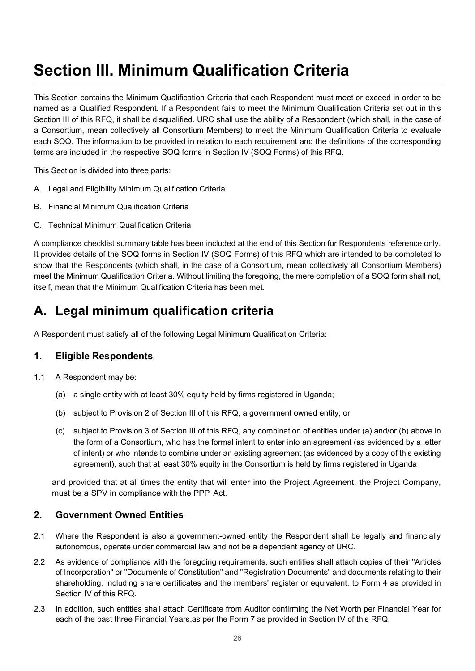## Section III. Minimum Qualification Criteria

This Section contains the Minimum Qualification Criteria that each Respondent must meet or exceed in order to be named as a Qualified Respondent. If a Respondent fails to meet the Minimum Qualification Criteria set out in this Section III of this RFQ, it shall be disqualified. URC shall use the ability of a Respondent (which shall, in the case of a Consortium, mean collectively all Consortium Members) to meet the Minimum Qualification Criteria to evaluate each SOQ. The information to be provided in relation to each requirement and the definitions of the corresponding terms are included in the respective SOQ forms in Section IV (SOQ Forms) of this RFQ.

This Section is divided into three parts:

- A. Legal and Eligibility Minimum Qualification Criteria
- B. Financial Minimum Qualification Criteria
- C. Technical Minimum Qualification Criteria

A compliance checklist summary table has been included at the end of this Section for Respondents reference only. It provides details of the SOQ forms in Section IV (SOQ Forms) of this RFQ which are intended to be completed to show that the Respondents (which shall, in the case of a Consortium, mean collectively all Consortium Members) meet the Minimum Qualification Criteria. Without limiting the foregoing, the mere completion of a SOQ form shall not, itself, mean that the Minimum Qualification Criteria has been met.

## A. Legal minimum qualification criteria

A Respondent must satisfy all of the following Legal Minimum Qualification Criteria:

#### 1. Eligible Respondents

- 1.1 A Respondent may be:
	- (a) a single entity with at least 30% equity held by firms registered in Uganda;
	- (b) subject to Provision 2 of Section III of this RFQ, a government owned entity; or
	- (c) subject to Provision 3 of Section III of this RFQ, any combination of entities under (a) and/or (b) above in the form of a Consortium, who has the formal intent to enter into an agreement (as evidenced by a letter of intent) or who intends to combine under an existing agreement (as evidenced by a copy of this existing agreement), such that at least 30% equity in the Consortium is held by firms registered in Uganda

and provided that at all times the entity that will enter into the Project Agreement, the Project Company, must be a SPV in compliance with the PPP Act.

#### 2. Government Owned Entities

- 2.1 Where the Respondent is also a government-owned entity the Respondent shall be legally and financially autonomous, operate under commercial law and not be a dependent agency of URC.
- 2.2 As evidence of compliance with the foregoing requirements, such entities shall attach copies of their "Articles of Incorporation" or "Documents of Constitution" and "Registration Documents" and documents relating to their shareholding, including share certificates and the members' register or equivalent, to Form 4 as provided in Section IV of this RFQ.
- 2.3 In addition, such entities shall attach Certificate from Auditor confirming the Net Worth per Financial Year for each of the past three Financial Years.as per the Form 7 as provided in Section IV of this RFQ.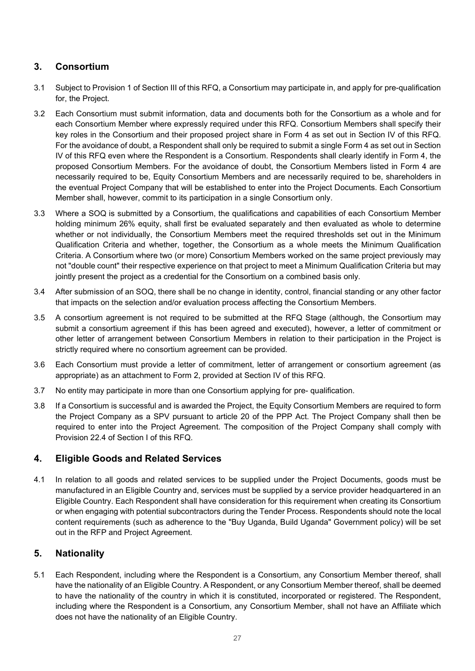#### 3. Consortium

- 3.1 Subject to Provision 1 of Section III of this RFQ, a Consortium may participate in, and apply for pre-qualification for, the Project.
- 3.2 Each Consortium must submit information, data and documents both for the Consortium as a whole and for each Consortium Member where expressly required under this RFQ. Consortium Members shall specify their key roles in the Consortium and their proposed project share in Form 4 as set out in Section IV of this RFQ. For the avoidance of doubt, a Respondent shall only be required to submit a single Form 4 as set out in Section IV of this RFQ even where the Respondent is a Consortium. Respondents shall clearly identify in Form 4, the proposed Consortium Members. For the avoidance of doubt, the Consortium Members listed in Form 4 are necessarily required to be, Equity Consortium Members and are necessarily required to be, shareholders in the eventual Project Company that will be established to enter into the Project Documents. Each Consortium Member shall, however, commit to its participation in a single Consortium only.
- 3.3 Where a SOQ is submitted by a Consortium, the qualifications and capabilities of each Consortium Member holding minimum 26% equity, shall first be evaluated separately and then evaluated as whole to determine whether or not individually, the Consortium Members meet the required thresholds set out in the Minimum Qualification Criteria and whether, together, the Consortium as a whole meets the Minimum Qualification Criteria. A Consortium where two (or more) Consortium Members worked on the same project previously may not "double count" their respective experience on that project to meet a Minimum Qualification Criteria but may jointly present the project as a credential for the Consortium on a combined basis only.
- 3.4 After submission of an SOQ, there shall be no change in identity, control, financial standing or any other factor that impacts on the selection and/or evaluation process affecting the Consortium Members.
- 3.5 A consortium agreement is not required to be submitted at the RFQ Stage (although, the Consortium may submit a consortium agreement if this has been agreed and executed), however, a letter of commitment or other letter of arrangement between Consortium Members in relation to their participation in the Project is strictly required where no consortium agreement can be provided.
- 3.6 Each Consortium must provide a letter of commitment, letter of arrangement or consortium agreement (as appropriate) as an attachment to Form 2, provided at Section IV of this RFQ.
- 3.7 No entity may participate in more than one Consortium applying for pre- qualification.
- 3.8 If a Consortium is successful and is awarded the Project, the Equity Consortium Members are required to form the Project Company as a SPV pursuant to article 20 of the PPP Act. The Project Company shall then be required to enter into the Project Agreement. The composition of the Project Company shall comply with Provision 22.4 of Section I of this RFQ.

#### 4. Eligible Goods and Related Services

4.1 In relation to all goods and related services to be supplied under the Project Documents, goods must be manufactured in an Eligible Country and, services must be supplied by a service provider headquartered in an Eligible Country. Each Respondent shall have consideration for this requirement when creating its Consortium or when engaging with potential subcontractors during the Tender Process. Respondents should note the local content requirements (such as adherence to the "Buy Uganda, Build Uganda" Government policy) will be set out in the RFP and Project Agreement.

#### 5. Nationality

5.1 Each Respondent, including where the Respondent is a Consortium, any Consortium Member thereof, shall have the nationality of an Eligible Country. A Respondent, or any Consortium Member thereof, shall be deemed to have the nationality of the country in which it is constituted, incorporated or registered. The Respondent, including where the Respondent is a Consortium, any Consortium Member, shall not have an Affiliate which does not have the nationality of an Eligible Country.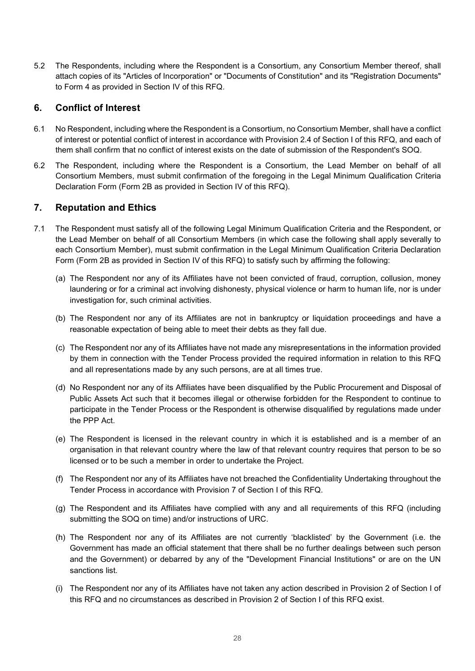5.2 The Respondents, including where the Respondent is a Consortium, any Consortium Member thereof, shall attach copies of its "Articles of Incorporation" or "Documents of Constitution" and its "Registration Documents" to Form 4 as provided in Section IV of this RFQ.

#### 6. Conflict of Interest

- 6.1 No Respondent, including where the Respondent is a Consortium, no Consortium Member, shall have a conflict of interest or potential conflict of interest in accordance with Provision 2.4 of Section I of this RFQ, and each of them shall confirm that no conflict of interest exists on the date of submission of the Respondent's SOQ.
- 6.2 The Respondent, including where the Respondent is a Consortium, the Lead Member on behalf of all Consortium Members, must submit confirmation of the foregoing in the Legal Minimum Qualification Criteria Declaration Form (Form 2B as provided in Section IV of this RFQ).

#### 7. Reputation and Ethics

- 7.1 The Respondent must satisfy all of the following Legal Minimum Qualification Criteria and the Respondent, or the Lead Member on behalf of all Consortium Members (in which case the following shall apply severally to each Consortium Member), must submit confirmation in the Legal Minimum Qualification Criteria Declaration Form (Form 2B as provided in Section IV of this RFQ) to satisfy such by affirming the following:
	- (a) The Respondent nor any of its Affiliates have not been convicted of fraud, corruption, collusion, money laundering or for a criminal act involving dishonesty, physical violence or harm to human life, nor is under investigation for, such criminal activities.
	- (b) The Respondent nor any of its Affiliates are not in bankruptcy or liquidation proceedings and have a reasonable expectation of being able to meet their debts as they fall due.
	- (c) The Respondent nor any of its Affiliates have not made any misrepresentations in the information provided by them in connection with the Tender Process provided the required information in relation to this RFQ and all representations made by any such persons, are at all times true.
	- (d) No Respondent nor any of its Affiliates have been disqualified by the Public Procurement and Disposal of Public Assets Act such that it becomes illegal or otherwise forbidden for the Respondent to continue to participate in the Tender Process or the Respondent is otherwise disqualified by regulations made under the PPP Act.
	- (e) The Respondent is licensed in the relevant country in which it is established and is a member of an organisation in that relevant country where the law of that relevant country requires that person to be so licensed or to be such a member in order to undertake the Project.
	- (f) The Respondent nor any of its Affiliates have not breached the Confidentiality Undertaking throughout the Tender Process in accordance with Provision 7 of Section I of this RFQ.
	- (g) The Respondent and its Affiliates have complied with any and all requirements of this RFQ (including submitting the SOQ on time) and/or instructions of URC.
	- (h) The Respondent nor any of its Affiliates are not currently 'blacklisted' by the Government (i.e. the Government has made an official statement that there shall be no further dealings between such person and the Government) or debarred by any of the "Development Financial Institutions" or are on the UN sanctions list.
	- (i) The Respondent nor any of its Affiliates have not taken any action described in Provision 2 of Section I of this RFQ and no circumstances as described in Provision 2 of Section I of this RFQ exist.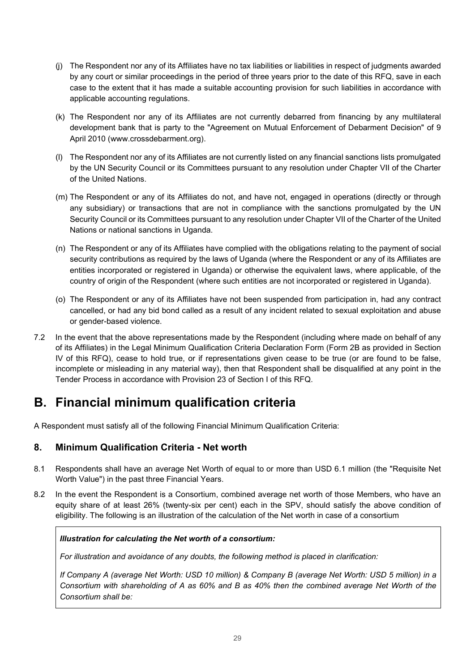- (j) The Respondent nor any of its Affiliates have no tax liabilities or liabilities in respect of judgments awarded by any court or similar proceedings in the period of three years prior to the date of this RFQ, save in each case to the extent that it has made a suitable accounting provision for such liabilities in accordance with applicable accounting regulations.
- (k) The Respondent nor any of its Affiliates are not currently debarred from financing by any multilateral development bank that is party to the "Agreement on Mutual Enforcement of Debarment Decision" of 9 April 2010 (www.crossdebarment.org).
- (l) The Respondent nor any of its Affiliates are not currently listed on any financial sanctions lists promulgated by the UN Security Council or its Committees pursuant to any resolution under Chapter VII of the Charter of the United Nations.
- (m) The Respondent or any of its Affiliates do not, and have not, engaged in operations (directly or through any subsidiary) or transactions that are not in compliance with the sanctions promulgated by the UN Security Council or its Committees pursuant to any resolution under Chapter VII of the Charter of the United Nations or national sanctions in Uganda.
- (n) The Respondent or any of its Affiliates have complied with the obligations relating to the payment of social security contributions as required by the laws of Uganda (where the Respondent or any of its Affiliates are entities incorporated or registered in Uganda) or otherwise the equivalent laws, where applicable, of the country of origin of the Respondent (where such entities are not incorporated or registered in Uganda).
- (o) The Respondent or any of its Affiliates have not been suspended from participation in, had any contract cancelled, or had any bid bond called as a result of any incident related to sexual exploitation and abuse or gender-based violence.
- 7.2 In the event that the above representations made by the Respondent (including where made on behalf of any of its Affiliates) in the Legal Minimum Qualification Criteria Declaration Form (Form 2B as provided in Section IV of this RFQ), cease to hold true, or if representations given cease to be true (or are found to be false, incomplete or misleading in any material way), then that Respondent shall be disqualified at any point in the Tender Process in accordance with Provision 23 of Section I of this RFQ.

## B. Financial minimum qualification criteria

A Respondent must satisfy all of the following Financial Minimum Qualification Criteria:

#### 8. Minimum Qualification Criteria - Net worth

- 8.1 Respondents shall have an average Net Worth of equal to or more than USD 6.1 million (the "Requisite Net Worth Value") in the past three Financial Years.
- 8.2 In the event the Respondent is a Consortium, combined average net worth of those Members, who have an equity share of at least 26% (twenty-six per cent) each in the SPV, should satisfy the above condition of eligibility. The following is an illustration of the calculation of the Net worth in case of a consortium

#### Illustration for calculating the Net worth of a consortium:

For illustration and avoidance of any doubts, the following method is placed in clarification:

If Company A (average Net Worth: USD 10 million) & Company B (average Net Worth: USD 5 million) in a Consortium with shareholding of A as 60% and B as 40% then the combined average Net Worth of the Consortium shall be: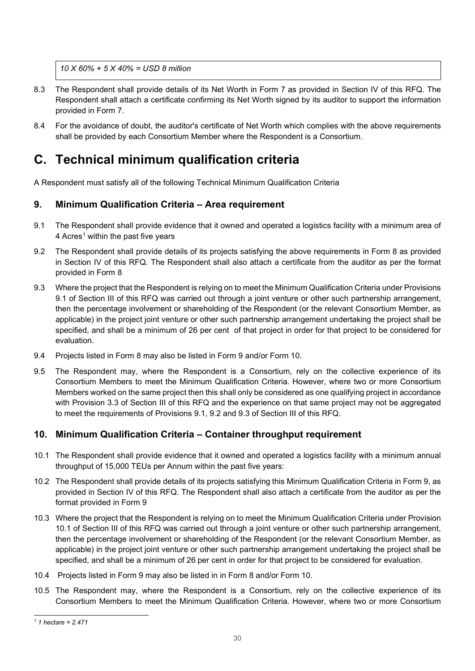10 X 60% + 5 X 40% = USD 8 million

- 8.3 The Respondent shall provide details of its Net Worth in Form 7 as provided in Section IV of this RFQ. The Respondent shall attach a certificate confirming its Net Worth signed by its auditor to support the information provided in Form 7.
- 8.4 For the avoidance of doubt, the auditor's certificate of Net Worth which complies with the above requirements shall be provided by each Consortium Member where the Respondent is a Consortium.

### C. Technical minimum qualification criteria

A Respondent must satisfy all of the following Technical Minimum Qualification Criteria

#### 9. Minimum Qualification Criteria – Area requirement

- 9.1 The Respondent shall provide evidence that it owned and operated a logistics facility with a minimum area of 4 Acres<sup>1</sup> within the past five years
- 9.2 The Respondent shall provide details of its projects satisfying the above requirements in Form 8 as provided in Section IV of this RFQ. The Respondent shall also attach a certificate from the auditor as per the format provided in Form 8
- 9.3 Where the project that the Respondent is relying on to meet the Minimum Qualification Criteria under Provisions 9.1 of Section III of this RFQ was carried out through a joint venture or other such partnership arrangement, then the percentage involvement or shareholding of the Respondent (or the relevant Consortium Member, as applicable) in the project joint venture or other such partnership arrangement undertaking the project shall be specified, and shall be a minimum of 26 per cent of that project in order for that project to be considered for evaluation.
- 9.4 Projects listed in Form 8 may also be listed in Form 9 and/or Form 10.
- 9.5 The Respondent may, where the Respondent is a Consortium, rely on the collective experience of its Consortium Members to meet the Minimum Qualification Criteria. However, where two or more Consortium Members worked on the same project then this shall only be considered as one qualifying project in accordance with Provision 3.3 of Section III of this RFQ and the experience on that same project may not be aggregated to meet the requirements of Provisions 9.1, 9.2 and 9.3 of Section III of this RFQ.

#### 10. Minimum Qualification Criteria – Container throughput requirement

- 10.1 The Respondent shall provide evidence that it owned and operated a logistics facility with a minimum annual throughput of 15,000 TEUs per Annum within the past five years:
- 10.2 The Respondent shall provide details of its projects satisfying this Minimum Qualification Criteria in Form 9, as provided in Section IV of this RFQ. The Respondent shall also attach a certificate from the auditor as per the format provided in Form 9
- 10.3 Where the project that the Respondent is relying on to meet the Minimum Qualification Criteria under Provision 10.1 of Section III of this RFQ was carried out through a joint venture or other such partnership arrangement, then the percentage involvement or shareholding of the Respondent (or the relevant Consortium Member, as applicable) in the project joint venture or other such partnership arrangement undertaking the project shall be specified, and shall be a minimum of 26 per cent in order for that project to be considered for evaluation.
- 10.4 Projects listed in Form 9 may also be listed in in Form 8 and/or Form 10.
- 10.5 The Respondent may, where the Respondent is a Consortium, rely on the collective experience of its Consortium Members to meet the Minimum Qualification Criteria. However, where two or more Consortium

 $1$  hectare = 2.471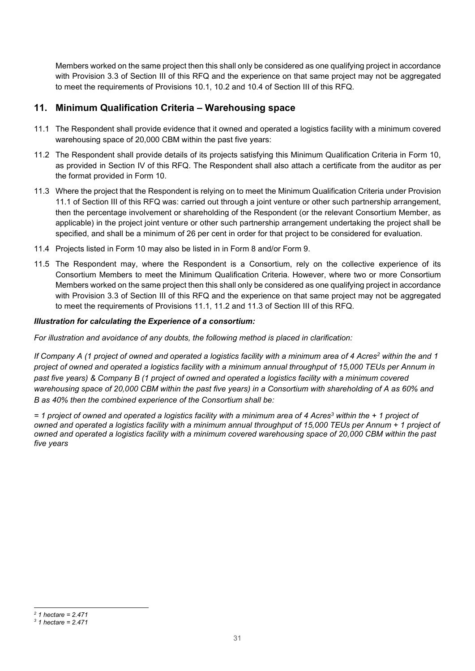Members worked on the same project then this shall only be considered as one qualifying project in accordance with Provision 3.3 of Section III of this RFQ and the experience on that same project may not be aggregated to meet the requirements of Provisions 10.1, 10.2 and 10.4 of Section III of this RFQ.

#### 11. Minimum Qualification Criteria – Warehousing space

- 11.1 The Respondent shall provide evidence that it owned and operated a logistics facility with a minimum covered warehousing space of 20,000 CBM within the past five years:
- 11.2 The Respondent shall provide details of its projects satisfying this Minimum Qualification Criteria in Form 10, as provided in Section IV of this RFQ. The Respondent shall also attach a certificate from the auditor as per the format provided in Form 10.
- 11.3 Where the project that the Respondent is relying on to meet the Minimum Qualification Criteria under Provision 11.1 of Section III of this RFQ was: carried out through a joint venture or other such partnership arrangement, then the percentage involvement or shareholding of the Respondent (or the relevant Consortium Member, as applicable) in the project joint venture or other such partnership arrangement undertaking the project shall be specified, and shall be a minimum of 26 per cent in order for that project to be considered for evaluation.
- 11.4 Projects listed in Form 10 may also be listed in in Form 8 and/or Form 9.
- 11.5 The Respondent may, where the Respondent is a Consortium, rely on the collective experience of its Consortium Members to meet the Minimum Qualification Criteria. However, where two or more Consortium Members worked on the same project then this shall only be considered as one qualifying project in accordance with Provision 3.3 of Section III of this RFQ and the experience on that same project may not be aggregated to meet the requirements of Provisions 11.1, 11.2 and 11.3 of Section III of this RFQ.

#### Illustration for calculating the Experience of a consortium:

For illustration and avoidance of any doubts, the following method is placed in clarification:

If Company A (1 project of owned and operated a logistics facility with a minimum area of 4 Acres<sup>2</sup> within the and 1 project of owned and operated a logistics facility with a minimum annual throughput of 15,000 TEUs per Annum in past five years) & Company B (1 project of owned and operated a logistics facility with a minimum covered warehousing space of 20,000 CBM within the past five years) in a Consortium with shareholding of A as 60% and B as 40% then the combined experience of the Consortium shall be:

= 1 project of owned and operated a logistics facility with a minimum area of 4 Acres<sup>3</sup> within the + 1 project of owned and operated a logistics facility with a minimum annual throughput of 15,000 TEUs per Annum + 1 project of owned and operated a logistics facility with a minimum covered warehousing space of 20,000 CBM within the past five years

<sup>2</sup> 1 hectare = 2.471

<sup>3</sup> 1 hectare = 2.471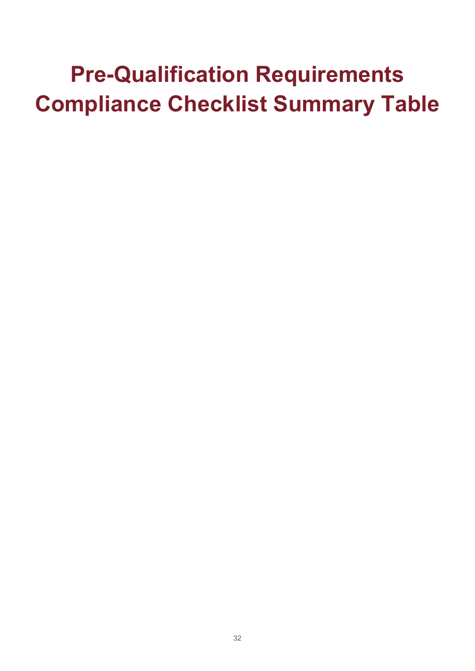## Pre-Qualification Requirements Compliance Checklist Summary Table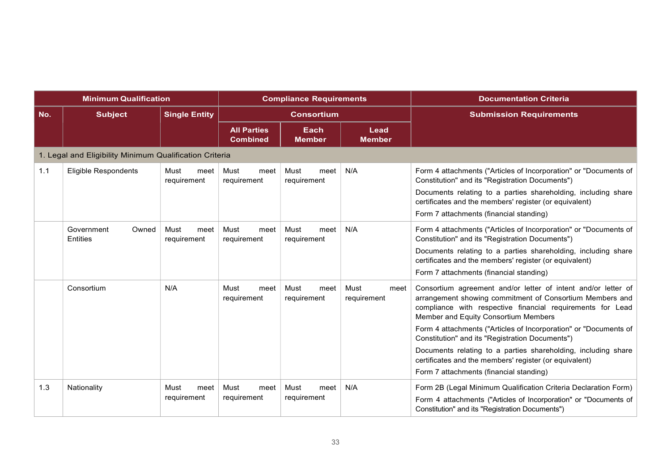| <b>Minimum Qualification</b> |                                                         |                             | <b>Compliance Requirements</b>        |                             |                             | <b>Documentation Criteria</b>                                                                                                                                                                                                   |
|------------------------------|---------------------------------------------------------|-----------------------------|---------------------------------------|-----------------------------|-----------------------------|---------------------------------------------------------------------------------------------------------------------------------------------------------------------------------------------------------------------------------|
| No.                          | <b>Subject</b>                                          | <b>Single Entity</b>        |                                       | <b>Consortium</b>           |                             | <b>Submission Requirements</b>                                                                                                                                                                                                  |
|                              |                                                         |                             | <b>All Parties</b><br><b>Combined</b> | Each<br><b>Member</b>       | Lead<br><b>Member</b>       |                                                                                                                                                                                                                                 |
|                              | 1. Legal and Eligibility Minimum Qualification Criteria |                             |                                       |                             |                             |                                                                                                                                                                                                                                 |
| 1.1                          | <b>Eligible Respondents</b>                             | Must<br>meet<br>requirement | Must<br>meet<br>requirement           | Must<br>meet<br>requirement | N/A                         | Form 4 attachments ("Articles of Incorporation" or "Documents of<br>Constitution" and its "Registration Documents")                                                                                                             |
|                              |                                                         |                             |                                       |                             |                             | Documents relating to a parties shareholding, including share<br>certificates and the members' register (or equivalent)                                                                                                         |
|                              |                                                         |                             |                                       |                             |                             | Form 7 attachments (financial standing)                                                                                                                                                                                         |
|                              | Government<br>Owned<br><b>Entities</b>                  | Must<br>meet<br>requirement | Must<br>meet<br>requirement           | Must<br>meet<br>requirement | N/A                         | Form 4 attachments ("Articles of Incorporation" or "Documents of<br>Constitution" and its "Registration Documents")                                                                                                             |
|                              |                                                         |                             |                                       |                             |                             | Documents relating to a parties shareholding, including share<br>certificates and the members' register (or equivalent)                                                                                                         |
|                              |                                                         |                             |                                       |                             |                             | Form 7 attachments (financial standing)                                                                                                                                                                                         |
|                              | Consortium                                              | N/A                         | Must<br>meet<br>requirement           | Must<br>meet<br>requirement | Must<br>meet<br>requirement | Consortium agreement and/or letter of intent and/or letter of<br>arrangement showing commitment of Consortium Members and<br>compliance with respective financial requirements for Lead<br>Member and Equity Consortium Members |
|                              |                                                         |                             |                                       |                             |                             | Form 4 attachments ("Articles of Incorporation" or "Documents of<br>Constitution" and its "Registration Documents")                                                                                                             |
|                              |                                                         |                             |                                       |                             |                             | Documents relating to a parties shareholding, including share<br>certificates and the members' register (or equivalent)                                                                                                         |
|                              |                                                         |                             |                                       |                             |                             | Form 7 attachments (financial standing)                                                                                                                                                                                         |
| 1.3                          | Nationality                                             | Must<br>meet                | Must<br>meet                          | Must<br>meet                | N/A                         | Form 2B (Legal Minimum Qualification Criteria Declaration Form)                                                                                                                                                                 |
|                              |                                                         | requirement                 | requirement                           | requirement                 |                             | Form 4 attachments ("Articles of Incorporation" or "Documents of<br>Constitution" and its "Registration Documents")                                                                                                             |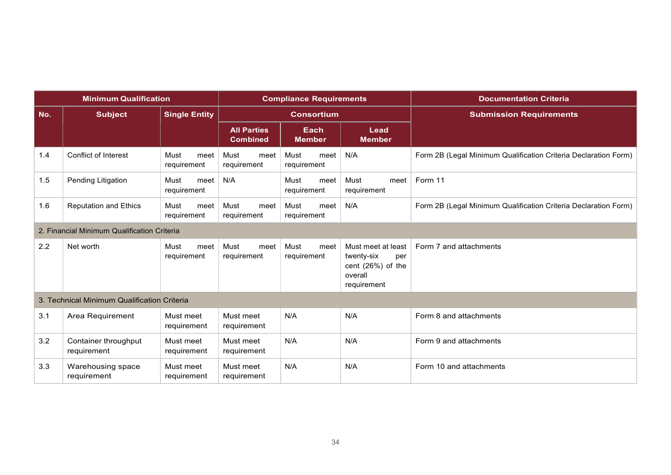| <b>Minimum Qualification</b>                |                                             |                             | <b>Compliance Requirements</b>        |                             |                                                                                        | <b>Documentation Criteria</b>                                   |
|---------------------------------------------|---------------------------------------------|-----------------------------|---------------------------------------|-----------------------------|----------------------------------------------------------------------------------------|-----------------------------------------------------------------|
| No.                                         | <b>Subject</b>                              | <b>Single Entity</b>        |                                       | <b>Consortium</b>           |                                                                                        | <b>Submission Requirements</b>                                  |
|                                             |                                             |                             | <b>All Parties</b><br><b>Combined</b> | Each<br><b>Member</b>       | Lead<br><b>Member</b>                                                                  |                                                                 |
| 1.4                                         | <b>Conflict of Interest</b>                 | Must<br>meet<br>requirement | Must<br>meet<br>requirement           | Must<br>meet<br>requirement | N/A                                                                                    | Form 2B (Legal Minimum Qualification Criteria Declaration Form) |
| 1.5                                         | Pending Litigation                          | Must<br>meet<br>requirement | N/A                                   | Must<br>meet<br>requirement | Must<br>meet<br>requirement                                                            | Form 11                                                         |
| 1.6                                         | <b>Reputation and Ethics</b>                | Must<br>meet<br>requirement | Must<br>meet<br>requirement           | Must<br>meet<br>requirement | N/A                                                                                    | Form 2B (Legal Minimum Qualification Criteria Declaration Form) |
| 2. Financial Minimum Qualification Criteria |                                             |                             |                                       |                             |                                                                                        |                                                                 |
| 2.2                                         | Net worth                                   | Must<br>meet<br>requirement | Must<br>meet<br>requirement           | Must<br>meet<br>requirement | Must meet at least<br>twenty-six<br>per<br>cent (26%) of the<br>overall<br>requirement | Form 7 and attachments                                          |
|                                             | 3. Technical Minimum Qualification Criteria |                             |                                       |                             |                                                                                        |                                                                 |
| 3.1                                         | Area Requirement                            | Must meet<br>requirement    | Must meet<br>requirement              | N/A                         | N/A                                                                                    | Form 8 and attachments                                          |
| 3.2                                         | Container throughput<br>requirement         | Must meet<br>requirement    | Must meet<br>requirement              | N/A                         | N/A                                                                                    | Form 9 and attachments                                          |
| 3.3                                         | Warehousing space<br>requirement            | Must meet<br>requirement    | Must meet<br>requirement              | N/A                         | N/A                                                                                    | Form 10 and attachments                                         |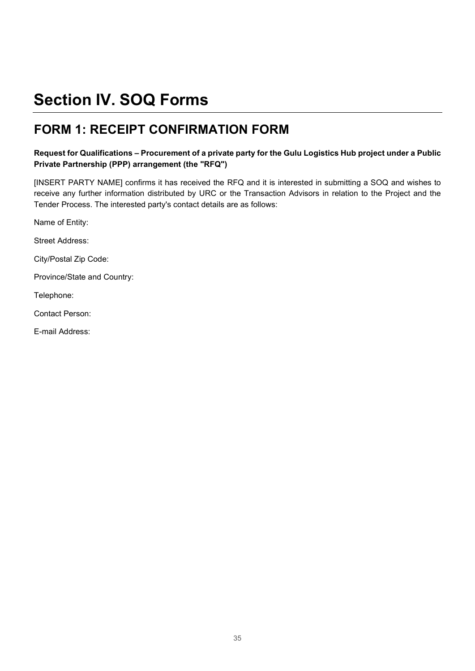## Section IV. SOQ Forms

## FORM 1: RECEIPT CONFIRMATION FORM

#### Request for Qualifications – Procurement of a private party for the Gulu Logistics Hub project under a Public Private Partnership (PPP) arrangement (the "RFQ")

[INSERT PARTY NAME] confirms it has received the RFQ and it is interested in submitting a SOQ and wishes to receive any further information distributed by URC or the Transaction Advisors in relation to the Project and the Tender Process. The interested party's contact details are as follows:

Name of Entity:

Street Address:

City/Postal Zip Code:

Province/State and Country:

Telephone:

Contact Person:

E-mail Address: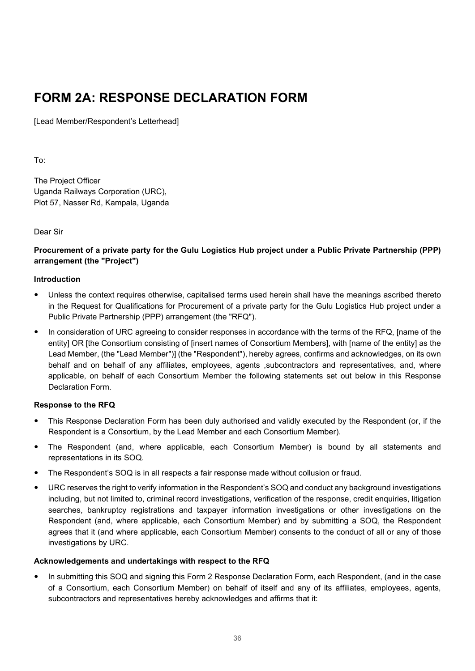## FORM 2A: RESPONSE DECLARATION FORM

[Lead Member/Respondent's Letterhead]

To:

The Project Officer Uganda Railways Corporation (URC), Plot 57, Nasser Rd, Kampala, Uganda

#### Dear Sir

Procurement of a private party for the Gulu Logistics Hub project under a Public Private Partnership (PPP) arrangement (the "Project")

#### Introduction

- Unless the context requires otherwise, capitalised terms used herein shall have the meanings ascribed thereto in the Request for Qualifications for Procurement of a private party for the Gulu Logistics Hub project under a Public Private Partnership (PPP) arrangement (the "RFQ").
- In consideration of URC agreeing to consider responses in accordance with the terms of the RFQ, [name of the entity] OR [the Consortium consisting of [insert names of Consortium Members], with [name of the entity] as the Lead Member, (the "Lead Member")] (the "Respondent"), hereby agrees, confirms and acknowledges, on its own behalf and on behalf of any affiliates, employees, agents ,subcontractors and representatives, and, where applicable, on behalf of each Consortium Member the following statements set out below in this Response Declaration Form.

#### Response to the RFQ

- This Response Declaration Form has been duly authorised and validly executed by the Respondent (or, if the Respondent is a Consortium, by the Lead Member and each Consortium Member).
- The Respondent (and, where applicable, each Consortium Member) is bound by all statements and representations in its SOQ.
- The Respondent's SOQ is in all respects a fair response made without collusion or fraud.
- URC reserves the right to verify information in the Respondent's SOQ and conduct any background investigations including, but not limited to, criminal record investigations, verification of the response, credit enquiries, litigation searches, bankruptcy registrations and taxpayer information investigations or other investigations on the Respondent (and, where applicable, each Consortium Member) and by submitting a SOQ, the Respondent agrees that it (and where applicable, each Consortium Member) consents to the conduct of all or any of those investigations by URC.

#### Acknowledgements and undertakings with respect to the RFQ

• In submitting this SOQ and signing this Form 2 Response Declaration Form, each Respondent, (and in the case of a Consortium, each Consortium Member) on behalf of itself and any of its affiliates, employees, agents, subcontractors and representatives hereby acknowledges and affirms that it: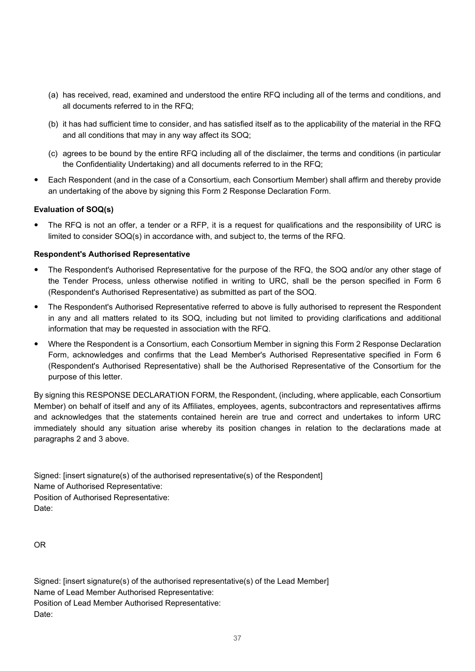- (a) has received, read, examined and understood the entire RFQ including all of the terms and conditions, and all documents referred to in the RFQ;
- (b) it has had sufficient time to consider, and has satisfied itself as to the applicability of the material in the RFQ and all conditions that may in any way affect its SOQ;
- (c) agrees to be bound by the entire RFQ including all of the disclaimer, the terms and conditions (in particular the Confidentiality Undertaking) and all documents referred to in the RFQ;
- Each Respondent (and in the case of a Consortium, each Consortium Member) shall affirm and thereby provide an undertaking of the above by signing this Form 2 Response Declaration Form.

#### Evaluation of SOQ(s)

 The RFQ is not an offer, a tender or a RFP, it is a request for qualifications and the responsibility of URC is limited to consider SOQ(s) in accordance with, and subject to, the terms of the RFQ.

#### Respondent's Authorised Representative

- The Respondent's Authorised Representative for the purpose of the RFQ, the SOQ and/or any other stage of the Tender Process, unless otherwise notified in writing to URC, shall be the person specified in Form 6 (Respondent's Authorised Representative) as submitted as part of the SOQ.
- The Respondent's Authorised Representative referred to above is fully authorised to represent the Respondent in any and all matters related to its SOQ, including but not limited to providing clarifications and additional information that may be requested in association with the RFQ.
- Where the Respondent is a Consortium, each Consortium Member in signing this Form 2 Response Declaration Form, acknowledges and confirms that the Lead Member's Authorised Representative specified in Form 6 (Respondent's Authorised Representative) shall be the Authorised Representative of the Consortium for the purpose of this letter.

By signing this RESPONSE DECLARATION FORM, the Respondent, (including, where applicable, each Consortium Member) on behalf of itself and any of its Affiliates, employees, agents, subcontractors and representatives affirms and acknowledges that the statements contained herein are true and correct and undertakes to inform URC immediately should any situation arise whereby its position changes in relation to the declarations made at paragraphs 2 and 3 above.

Signed: [insert signature(s) of the authorised representative(s) of the Respondent] Name of Authorised Representative: Position of Authorised Representative: Date:

OR

Signed: [insert signature(s) of the authorised representative(s) of the Lead Member] Name of Lead Member Authorised Representative: Position of Lead Member Authorised Representative: Date: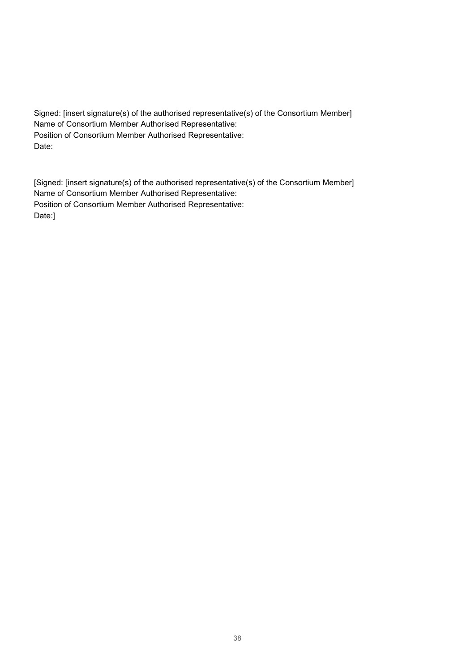Signed: [insert signature(s) of the authorised representative(s) of the Consortium Member] Name of Consortium Member Authorised Representative: Position of Consortium Member Authorised Representative: Date:

[Signed: [insert signature(s) of the authorised representative(s) of the Consortium Member] Name of Consortium Member Authorised Representative: Position of Consortium Member Authorised Representative: Date:]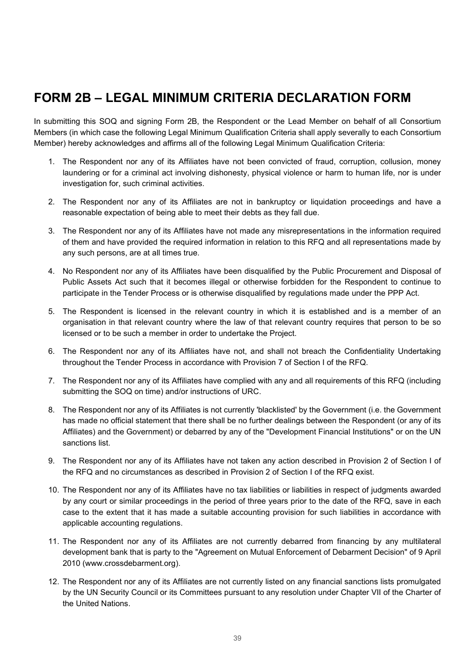## FORM 2B – LEGAL MINIMUM CRITERIA DECLARATION FORM

In submitting this SOQ and signing Form 2B, the Respondent or the Lead Member on behalf of all Consortium Members (in which case the following Legal Minimum Qualification Criteria shall apply severally to each Consortium Member) hereby acknowledges and affirms all of the following Legal Minimum Qualification Criteria:

- 1. The Respondent nor any of its Affiliates have not been convicted of fraud, corruption, collusion, money laundering or for a criminal act involving dishonesty, physical violence or harm to human life, nor is under investigation for, such criminal activities.
- 2. The Respondent nor any of its Affiliates are not in bankruptcy or liquidation proceedings and have a reasonable expectation of being able to meet their debts as they fall due.
- 3. The Respondent nor any of its Affiliates have not made any misrepresentations in the information required of them and have provided the required information in relation to this RFQ and all representations made by any such persons, are at all times true.
- 4. No Respondent nor any of its Affiliates have been disqualified by the Public Procurement and Disposal of Public Assets Act such that it becomes illegal or otherwise forbidden for the Respondent to continue to participate in the Tender Process or is otherwise disqualified by regulations made under the PPP Act.
- 5. The Respondent is licensed in the relevant country in which it is established and is a member of an organisation in that relevant country where the law of that relevant country requires that person to be so licensed or to be such a member in order to undertake the Project.
- 6. The Respondent nor any of its Affiliates have not, and shall not breach the Confidentiality Undertaking throughout the Tender Process in accordance with Provision 7 of Section I of the RFQ.
- 7. The Respondent nor any of its Affiliates have complied with any and all requirements of this RFQ (including submitting the SOQ on time) and/or instructions of URC.
- 8. The Respondent nor any of its Affiliates is not currently 'blacklisted' by the Government (i.e. the Government has made no official statement that there shall be no further dealings between the Respondent (or any of its Affiliates) and the Government) or debarred by any of the "Development Financial Institutions" or on the UN sanctions list.
- 9. The Respondent nor any of its Affiliates have not taken any action described in Provision 2 of Section I of the RFQ and no circumstances as described in Provision 2 of Section I of the RFQ exist.
- 10. The Respondent nor any of its Affiliates have no tax liabilities or liabilities in respect of judgments awarded by any court or similar proceedings in the period of three years prior to the date of the RFQ, save in each case to the extent that it has made a suitable accounting provision for such liabilities in accordance with applicable accounting regulations.
- 11. The Respondent nor any of its Affiliates are not currently debarred from financing by any multilateral development bank that is party to the "Agreement on Mutual Enforcement of Debarment Decision" of 9 April 2010 (www.crossdebarment.org).
- 12. The Respondent nor any of its Affiliates are not currently listed on any financial sanctions lists promulgated by the UN Security Council or its Committees pursuant to any resolution under Chapter VII of the Charter of the United Nations.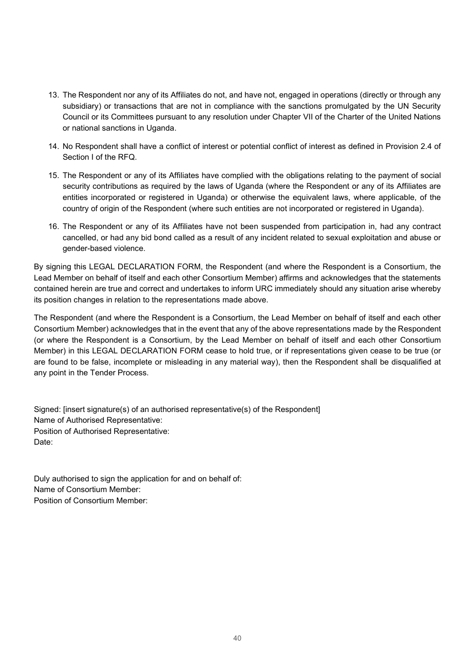- 13. The Respondent nor any of its Affiliates do not, and have not, engaged in operations (directly or through any subsidiary) or transactions that are not in compliance with the sanctions promulgated by the UN Security Council or its Committees pursuant to any resolution under Chapter VII of the Charter of the United Nations or national sanctions in Uganda.
- 14. No Respondent shall have a conflict of interest or potential conflict of interest as defined in Provision 2.4 of Section I of the RFQ.
- 15. The Respondent or any of its Affiliates have complied with the obligations relating to the payment of social security contributions as required by the laws of Uganda (where the Respondent or any of its Affiliates are entities incorporated or registered in Uganda) or otherwise the equivalent laws, where applicable, of the country of origin of the Respondent (where such entities are not incorporated or registered in Uganda).
- 16. The Respondent or any of its Affiliates have not been suspended from participation in, had any contract cancelled, or had any bid bond called as a result of any incident related to sexual exploitation and abuse or gender-based violence.

By signing this LEGAL DECLARATION FORM, the Respondent (and where the Respondent is a Consortium, the Lead Member on behalf of itself and each other Consortium Member) affirms and acknowledges that the statements contained herein are true and correct and undertakes to inform URC immediately should any situation arise whereby its position changes in relation to the representations made above.

The Respondent (and where the Respondent is a Consortium, the Lead Member on behalf of itself and each other Consortium Member) acknowledges that in the event that any of the above representations made by the Respondent (or where the Respondent is a Consortium, by the Lead Member on behalf of itself and each other Consortium Member) in this LEGAL DECLARATION FORM cease to hold true, or if representations given cease to be true (or are found to be false, incomplete or misleading in any material way), then the Respondent shall be disqualified at any point in the Tender Process.

Signed: [insert signature(s) of an authorised representative(s) of the Respondent] Name of Authorised Representative: Position of Authorised Representative: Date:

Duly authorised to sign the application for and on behalf of: Name of Consortium Member: Position of Consortium Member: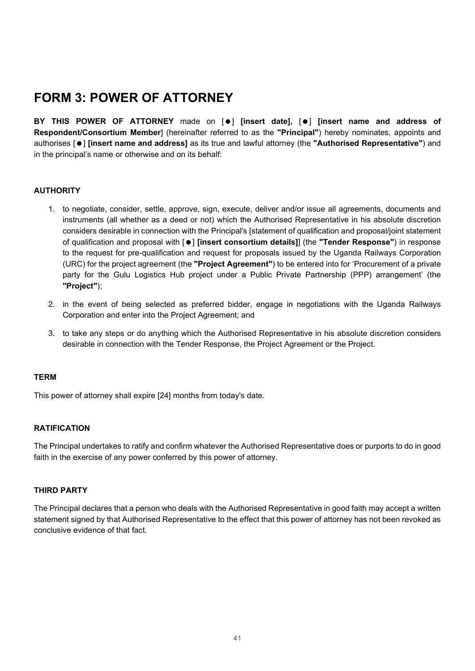## FORM 3: POWER OF ATTORNEY

BY THIS POWER OF ATTORNEY made on  $\lceil \bullet \rceil$  [insert date],  $\lceil \bullet \rceil$  [insert name and address of Respondent/Consortium Member] (hereinafter referred to as the "Principal") hereby nominates, appoints and authorises [ $\bullet$ ] [insert name and address] as its true and lawful attorney (the "Authorised Representative") and in the principal's name or otherwise and on its behalf:

#### AUTHORITY

- 1. to negotiate, consider, settle, approve, sign, execute, deliver and/or issue all agreements, documents and instruments (all whether as a deed or not) which the Authorised Representative in his absolute discretion considers desirable in connection with the Principal's [statement of qualification and proposal/joint statement of qualification and proposal with  $\lceil \bullet \rceil$  [insert consortium details]] (the "Tender Response") in response to the request for pre-qualification and request for proposals issued by the Uganda Railways Corporation (URC) for the project agreement (the "Project Agreement") to be entered into for 'Procurement of a private party for the Gulu Logistics Hub project under a Public Private Partnership (PPP) arrangement' (the "Project");
- 2. in the event of being selected as preferred bidder, engage in negotiations with the Uganda Railways Corporation and enter into the Project Agreement; and
- 3. to take any steps or do anything which the Authorised Representative in his absolute discretion considers desirable in connection with the Tender Response, the Project Agreement or the Project.

#### **TERM**

This power of attorney shall expire [24] months from today's date.

#### **RATIFICATION**

The Principal undertakes to ratify and confirm whatever the Authorised Representative does or purports to do in good faith in the exercise of any power conferred by this power of attorney.

#### THIRD PARTY

The Principal declares that a person who deals with the Authorised Representative in good faith may accept a written statement signed by that Authorised Representative to the effect that this power of attorney has not been revoked as conclusive evidence of that fact.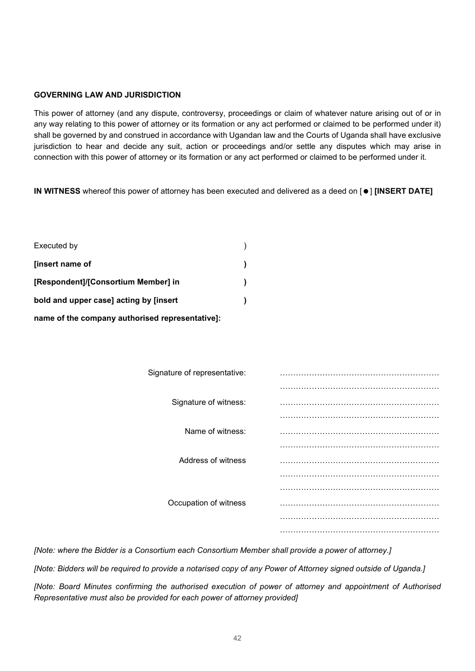#### GOVERNING LAW AND JURISDICTION

This power of attorney (and any dispute, controversy, proceedings or claim of whatever nature arising out of or in any way relating to this power of attorney or its formation or any act performed or claimed to be performed under it) shall be governed by and construed in accordance with Ugandan law and the Courts of Uganda shall have exclusive jurisdiction to hear and decide any suit, action or proceedings and/or settle any disputes which may arise in connection with this power of attorney or its formation or any act performed or claimed to be performed under it.

IN WITNESS whereof this power of attorney has been executed and delivered as a deed on  $[•]$  [INSERT DATE]

| Executed by                                     |  |
|-------------------------------------------------|--|
| <b>finsert name of</b>                          |  |
| [Respondent]/[Consortium Member] in             |  |
| bold and upper case] acting by [insert]         |  |
| name of the company authorised representative]: |  |

| Signature of representative: |  |
|------------------------------|--|
|                              |  |
| Signature of witness:        |  |
|                              |  |
| Name of witness:             |  |
|                              |  |
| Address of witness           |  |
|                              |  |
|                              |  |
| Occupation of witness        |  |
|                              |  |
|                              |  |

[Note: where the Bidder is a Consortium each Consortium Member shall provide a power of attorney.]

[Note: Bidders will be required to provide a notarised copy of any Power of Attorney signed outside of Uganda.]

[Note: Board Minutes confirming the authorised execution of power of attorney and appointment of Authorised Representative must also be provided for each power of attorney provided]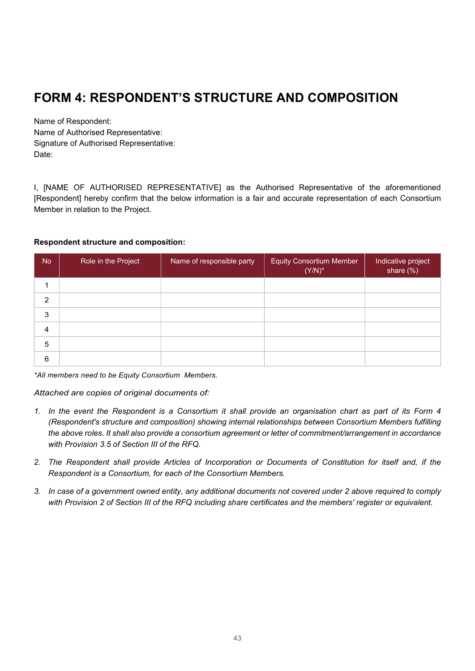## FORM 4: RESPONDENT'S STRUCTURE AND COMPOSITION

Name of Respondent: Name of Authorised Representative: Signature of Authorised Representative: Date:

I, [NAME OF AUTHORISED REPRESENTATIVE] as the Authorised Representative of the aforementioned [Respondent] hereby confirm that the below information is a fair and accurate representation of each Consortium Member in relation to the Project.

#### Respondent structure and composition:

| No.            | Role in the Project | Name of responsible party | <b>Equity Consortium Member</b><br>$(Y/N)^*$ | Indicative project<br>share (%) |
|----------------|---------------------|---------------------------|----------------------------------------------|---------------------------------|
|                |                     |                           |                                              |                                 |
| $\overline{2}$ |                     |                           |                                              |                                 |
| $\mathsf 3$    |                     |                           |                                              |                                 |
| $\overline{4}$ |                     |                           |                                              |                                 |
| 5              |                     |                           |                                              |                                 |
| 6              |                     |                           |                                              |                                 |

\*All members need to be Equity Consortium Members.

Attached are copies of original documents of:

- 1. In the event the Respondent is a Consortium it shall provide an organisation chart as part of its Form 4 (Respondent's structure and composition) showing internal relationships between Consortium Members fulfilling the above roles. It shall also provide a consortium agreement or letter of commitment/arrangement in accordance with Provision 3.5 of Section III of the RFQ.
- 2. The Respondent shall provide Articles of Incorporation or Documents of Constitution for itself and, if the Respondent is a Consortium, for each of the Consortium Members.
- 3. In case of a government owned entity, any additional documents not covered under 2 above required to comply with Provision 2 of Section III of the RFQ including share certificates and the members' register or equivalent.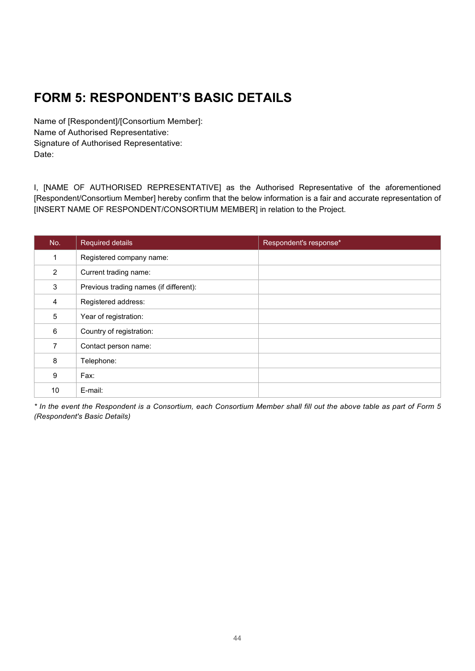## FORM 5: RESPONDENT'S BASIC DETAILS

Name of [Respondent]/[Consortium Member]: Name of Authorised Representative: Signature of Authorised Representative: Date:

I, [NAME OF AUTHORISED REPRESENTATIVE] as the Authorised Representative of the aforementioned [Respondent/Consortium Member] hereby confirm that the below information is a fair and accurate representation of [INSERT NAME OF RESPONDENT/CONSORTIUM MEMBER] in relation to the Project.

| No.            | <b>Required details</b>                | Respondent's response* |
|----------------|----------------------------------------|------------------------|
| 1              | Registered company name:               |                        |
| $\overline{2}$ | Current trading name:                  |                        |
| 3              | Previous trading names (if different): |                        |
| 4              | Registered address:                    |                        |
| 5              | Year of registration:                  |                        |
| 6              | Country of registration:               |                        |
| $\overline{7}$ | Contact person name:                   |                        |
| 8              | Telephone:                             |                        |
| 9              | Fax:                                   |                        |
| 10             | E-mail:                                |                        |

\* In the event the Respondent is a Consortium, each Consortium Member shall fill out the above table as part of Form 5 (Respondent's Basic Details)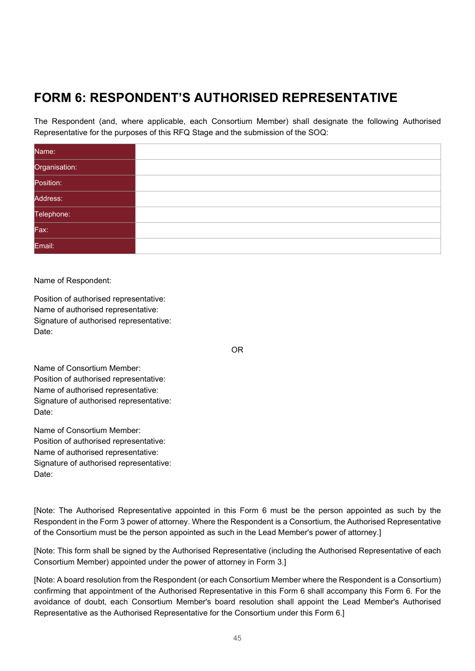## FORM 6: RESPONDENT'S AUTHORISED REPRESENTATIVE

The Respondent (and, where applicable, each Consortium Member) shall designate the following Authorised Representative for the purposes of this RFQ Stage and the submission of the SOQ:

| Name:         |  |
|---------------|--|
| Organisation: |  |
| Position:     |  |
| Address:      |  |
| Telephone:    |  |
| Fax:          |  |
| Email:        |  |

Name of Respondent:

Position of authorised representative: Name of authorised representative: Signature of authorised representative: Date:

OR

Name of Consortium Member: Position of authorised representative: Name of authorised representative: Signature of authorised representative: Date:

Name of Consortium Member: Position of authorised representative: Name of authorised representative: Signature of authorised representative: Date:

[Note: The Authorised Representative appointed in this Form 6 must be the person appointed as such by the Respondent in the Form 3 power of attorney. Where the Respondent is a Consortium, the Authorised Representative of the Consortium must be the person appointed as such in the Lead Member's power of attorney.]

[Note: This form shall be signed by the Authorised Representative (including the Authorised Representative of each Consortium Member) appointed under the power of attorney in Form 3.]

[Note: A board resolution from the Respondent (or each Consortium Member where the Respondent is a Consortium) confirming that appointment of the Authorised Representative in this Form 6 shall accompany this Form 6. For the avoidance of doubt, each Consortium Member's board resolution shall appoint the Lead Member's Authorised Representative as the Authorised Representative for the Consortium under this Form 6.]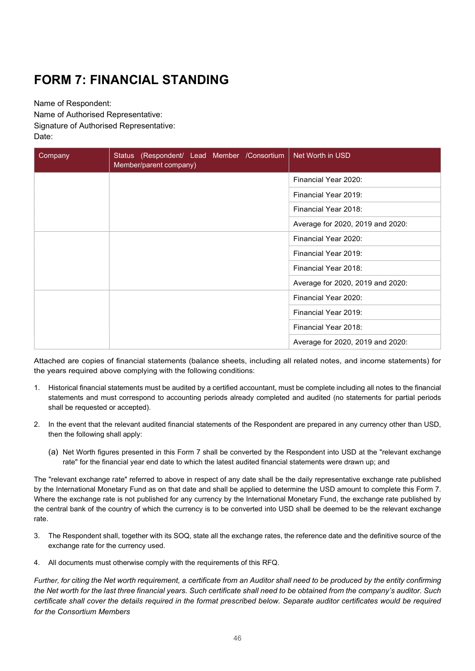## FORM 7: FINANCIAL STANDING

Name of Respondent:

Name of Authorised Representative: Signature of Authorised Representative: Date:

| Company | Status (Respondent/ Lead Member /Consortium<br>Member/parent company) | Net Worth in USD                 |
|---------|-----------------------------------------------------------------------|----------------------------------|
|         |                                                                       | Financial Year 2020:             |
|         |                                                                       | Financial Year 2019:             |
|         |                                                                       | Financial Year 2018:             |
|         |                                                                       | Average for 2020, 2019 and 2020: |
|         |                                                                       | Financial Year 2020:             |
|         |                                                                       | Financial Year 2019:             |
|         |                                                                       | Financial Year 2018:             |
|         |                                                                       | Average for 2020, 2019 and 2020: |
|         |                                                                       | Financial Year 2020:             |
|         |                                                                       | Financial Year 2019:             |
|         |                                                                       | Financial Year 2018:             |
|         |                                                                       | Average for 2020, 2019 and 2020: |

Attached are copies of financial statements (balance sheets, including all related notes, and income statements) for the years required above complying with the following conditions:

- 1. Historical financial statements must be audited by a certified accountant, must be complete including all notes to the financial statements and must correspond to accounting periods already completed and audited (no statements for partial periods shall be requested or accepted).
- 2. In the event that the relevant audited financial statements of the Respondent are prepared in any currency other than USD, then the following shall apply:
	- (a) Net Worth figures presented in this Form 7 shall be converted by the Respondent into USD at the "relevant exchange rate" for the financial year end date to which the latest audited financial statements were drawn up; and

The "relevant exchange rate" referred to above in respect of any date shall be the daily representative exchange rate published by the International Monetary Fund as on that date and shall be applied to determine the USD amount to complete this Form 7. Where the exchange rate is not published for any currency by the International Monetary Fund, the exchange rate published by the central bank of the country of which the currency is to be converted into USD shall be deemed to be the relevant exchange rate.

- 3. The Respondent shall, together with its SOQ, state all the exchange rates, the reference date and the definitive source of the exchange rate for the currency used.
- 4. All documents must otherwise comply with the requirements of this RFQ.

Further, for citing the Net worth requirement, a certificate from an Auditor shall need to be produced by the entity confirming the Net worth for the last three financial years. Such certificate shall need to be obtained from the company's auditor. Such certificate shall cover the details required in the format prescribed below. Separate auditor certificates would be required for the Consortium Members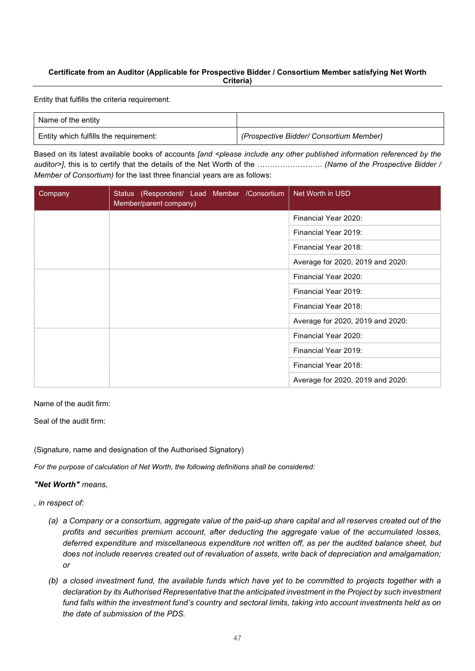#### Certificate from an Auditor (Applicable for Prospective Bidder / Consortium Member satisfying Net Worth Criteria)

Entity that fulfills the criteria requirement.

| Name of the entity                     |                                         |
|----------------------------------------|-----------------------------------------|
| Entity which fulfills the requirement: | (Prospective Bidder/ Consortium Member) |

Based on its latest available books of accounts *[and <please include any other published information referenced by the* auditor>], this is to certify that the details of the Net Worth of the ………………………… (Name of the Prospective Bidder / Member of Consortium) for the last three financial years are as follows:

| Company | Status (Respondent/ Lead Member /Consortium<br>Member/parent company) | Net Worth in USD                 |
|---------|-----------------------------------------------------------------------|----------------------------------|
|         |                                                                       | Financial Year 2020:             |
|         |                                                                       | Financial Year 2019:             |
|         |                                                                       | Financial Year 2018:             |
|         |                                                                       | Average for 2020, 2019 and 2020: |
|         |                                                                       | Financial Year 2020:             |
|         |                                                                       | Financial Year 2019:             |
|         |                                                                       | Financial Year 2018:             |
|         |                                                                       | Average for 2020, 2019 and 2020: |
|         |                                                                       | Financial Year 2020:             |
|         |                                                                       | Financial Year 2019:             |
|         |                                                                       | Financial Year 2018:             |
|         |                                                                       | Average for 2020, 2019 and 2020: |

Name of the audit firm:

Seal of the audit firm:

(Signature, name and designation of the Authorised Signatory)

For the purpose of calculation of Net Worth, the following definitions shall be considered:

#### "Net Worth" means.

, in respect of:

- (a) a Company or a consortium, aggregate value of the paid-up share capital and all reserves created out of the profits and securities premium account, after deducting the aggregate value of the accumulated losses, deferred expenditure and miscellaneous expenditure not written off, as per the audited balance sheet, but does not include reserves created out of revaluation of assets, write back of depreciation and amalgamation; or
- (b) a closed investment fund, the available funds which have yet to be committed to projects together with a declaration by its Authorised Representative that the anticipated investment in the Project by such investment fund falls within the investment fund's country and sectoral limits, taking into account investments held as on the date of submission of the PDS.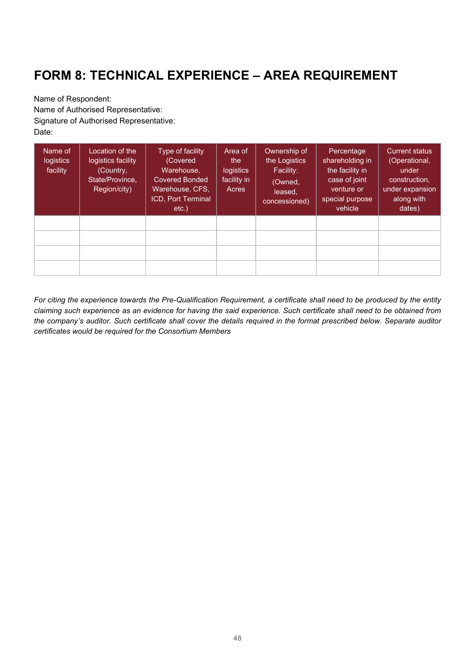## FORM 8: TECHNICAL EXPERIENCE – AREA REQUIREMENT

Name of Respondent: Name of Authorised Representative: Signature of Authorised Representative: Date:

| Name of<br>logistics<br>facility | Location of the<br>logistics facility<br>(Country,<br>State/Province.<br>Region/city) | Type of facility<br>(Covered<br>Warehouse,<br><b>Covered Bonded</b><br>Warehouse, CFS,<br>ICD, Port Terminal<br>$etc.$ ) | Area of<br>the<br>logistics<br>facility in<br>Acres | Ownership of<br>the Logistics<br>Facility:<br>(Owned,<br>leased,<br>concessioned) | Percentage<br>shareholding in<br>the facility in<br>case of joint<br>venture or<br>special purpose<br>vehicle | <b>Current status</b><br>(Operational,<br>under<br>construction.<br>under expansion<br>along with<br>dates) |
|----------------------------------|---------------------------------------------------------------------------------------|--------------------------------------------------------------------------------------------------------------------------|-----------------------------------------------------|-----------------------------------------------------------------------------------|---------------------------------------------------------------------------------------------------------------|-------------------------------------------------------------------------------------------------------------|
|                                  |                                                                                       |                                                                                                                          |                                                     |                                                                                   |                                                                                                               |                                                                                                             |
|                                  |                                                                                       |                                                                                                                          |                                                     |                                                                                   |                                                                                                               |                                                                                                             |
|                                  |                                                                                       |                                                                                                                          |                                                     |                                                                                   |                                                                                                               |                                                                                                             |
|                                  |                                                                                       |                                                                                                                          |                                                     |                                                                                   |                                                                                                               |                                                                                                             |

For citing the experience towards the Pre-Qualification Requirement, a certificate shall need to be produced by the entity claiming such experience as an evidence for having the said experience. Such certificate shall need to be obtained from the company's auditor. Such certificate shall cover the details required in the format prescribed below. Separate auditor certificates would be required for the Consortium Members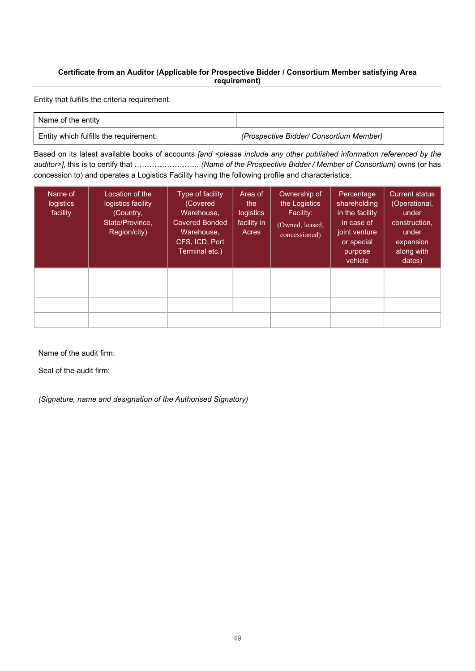#### Certificate from an Auditor (Applicable for Prospective Bidder / Consortium Member satisfying Area requirement)

Entity that fulfills the criteria requirement.

| Name of the entity                     |                                         |
|----------------------------------------|-----------------------------------------|
| Entity which fulfills the requirement: | (Prospective Bidder/ Consortium Member) |

Based on its latest available books of accounts [and <please include any other published information referenced by the auditor>], this is to certify that …………………….. (Name of the Prospective Bidder / Member of Consortium) owns (or has concession to) and operates a Logistics Facility having the following profile and characteristics:

| Name of<br>logistics<br>facility | Location of the<br>logistics facility<br>(Country,<br>State/Province,<br>Region/city) | Type of facility<br>(Covered<br>Warehouse,<br><b>Covered Bonded</b><br>Warehouse,<br>CFS, ICD, Port<br>Terminal etc.) | Area of<br>the<br><b>logistics</b><br>facility in<br>Acres | Ownership of<br>the Logistics<br>Facility:<br>(Owned, leased,<br>concessioned) | Percentage<br>shareholding<br>in the facility<br>in case of<br>joint venture<br>or special<br>purpose<br>vehicle | <b>Current status</b><br>(Operational,<br>under<br>construction,<br>under<br>expansion<br>along with<br>dates) |
|----------------------------------|---------------------------------------------------------------------------------------|-----------------------------------------------------------------------------------------------------------------------|------------------------------------------------------------|--------------------------------------------------------------------------------|------------------------------------------------------------------------------------------------------------------|----------------------------------------------------------------------------------------------------------------|
|                                  |                                                                                       |                                                                                                                       |                                                            |                                                                                |                                                                                                                  |                                                                                                                |
|                                  |                                                                                       |                                                                                                                       |                                                            |                                                                                |                                                                                                                  |                                                                                                                |
|                                  |                                                                                       |                                                                                                                       |                                                            |                                                                                |                                                                                                                  |                                                                                                                |
|                                  |                                                                                       |                                                                                                                       |                                                            |                                                                                |                                                                                                                  |                                                                                                                |

Name of the audit firm:

Seal of the audit firm:

(Signature, name and designation of the Authorised Signatory)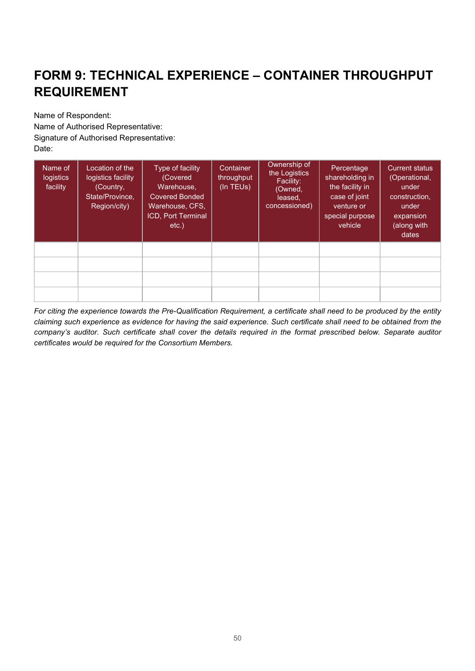## FORM 9: TECHNICAL EXPERIENCE – CONTAINER THROUGHPUT REQUIREMENT

Name of Respondent: Name of Authorised Representative: Signature of Authorised Representative: Date:

| Name of<br>logistics<br>facility | Location of the<br>logistics facility<br>(Country,<br>State/Province,<br>Region/city) | Type of facility<br>(Covered<br>Warehouse.<br><b>Covered Bonded</b><br>Warehouse, CFS,<br>ICD, Port Terminal<br>$etc.$ ) | Container<br>throughput<br>(In TEUs) | Ownership of<br>the Logistics<br>Facility:<br>(Owned,<br>leased.<br>concessioned) | Percentage<br>shareholding in<br>the facility in<br>case of joint<br>venture or<br>special purpose<br>vehicle | <b>Current status</b><br>(Operational,<br>under<br>construction,<br>under<br>expansion<br>(along with<br>dates |
|----------------------------------|---------------------------------------------------------------------------------------|--------------------------------------------------------------------------------------------------------------------------|--------------------------------------|-----------------------------------------------------------------------------------|---------------------------------------------------------------------------------------------------------------|----------------------------------------------------------------------------------------------------------------|
|                                  |                                                                                       |                                                                                                                          |                                      |                                                                                   |                                                                                                               |                                                                                                                |
|                                  |                                                                                       |                                                                                                                          |                                      |                                                                                   |                                                                                                               |                                                                                                                |
|                                  |                                                                                       |                                                                                                                          |                                      |                                                                                   |                                                                                                               |                                                                                                                |
|                                  |                                                                                       |                                                                                                                          |                                      |                                                                                   |                                                                                                               |                                                                                                                |

For citing the experience towards the Pre-Qualification Requirement, a certificate shall need to be produced by the entity claiming such experience as evidence for having the said experience. Such certificate shall need to be obtained from the company's auditor. Such certificate shall cover the details required in the format prescribed below. Separate auditor certificates would be required for the Consortium Members.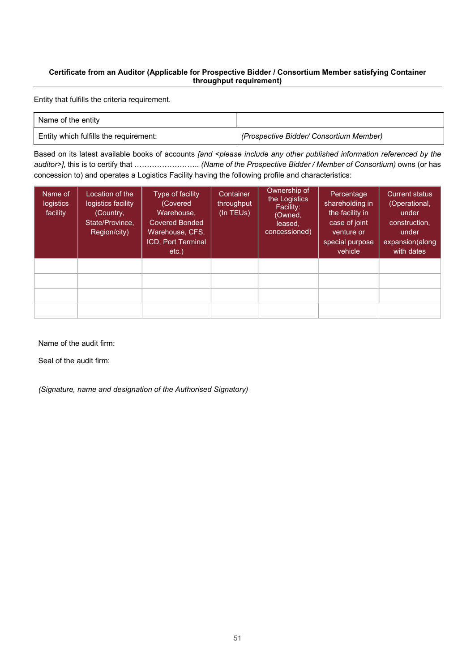#### Certificate from an Auditor (Applicable for Prospective Bidder / Consortium Member satisfying Container throughput requirement)

Entity that fulfills the criteria requirement.

| Name of the entity                     |                                         |
|----------------------------------------|-----------------------------------------|
| Entity which fulfills the requirement: | (Prospective Bidder/ Consortium Member) |

Based on its latest available books of accounts [and <please include any other published information referenced by the auditor>], this is to certify that …………………….. (Name of the Prospective Bidder / Member of Consortium) owns (or has concession to) and operates a Logistics Facility having the following profile and characteristics:

| Name of<br>logistics<br>facility | Location of the<br>logistics facility<br>(Country,<br>State/Province.<br>Region/city) | Type of facility<br>(Covered<br>Warehouse.<br><b>Covered Bonded</b><br>Warehouse, CFS,<br>ICD, Port Terminal<br>$etc.$ ) | Container<br>throughput<br>(In TEUs) | Ownership of<br>the Logistics<br>Facility:<br>(Owned.<br>leased,<br>concessioned) | Percentage<br>shareholding in<br>the facility in<br>case of joint<br>venture or<br>special purpose<br>vehicle | <b>Current status</b><br>(Operational,<br>under<br>construction.<br>under<br>expansion(along<br>with dates |
|----------------------------------|---------------------------------------------------------------------------------------|--------------------------------------------------------------------------------------------------------------------------|--------------------------------------|-----------------------------------------------------------------------------------|---------------------------------------------------------------------------------------------------------------|------------------------------------------------------------------------------------------------------------|
|                                  |                                                                                       |                                                                                                                          |                                      |                                                                                   |                                                                                                               |                                                                                                            |
|                                  |                                                                                       |                                                                                                                          |                                      |                                                                                   |                                                                                                               |                                                                                                            |
|                                  |                                                                                       |                                                                                                                          |                                      |                                                                                   |                                                                                                               |                                                                                                            |
|                                  |                                                                                       |                                                                                                                          |                                      |                                                                                   |                                                                                                               |                                                                                                            |

#### Name of the audit firm:

Seal of the audit firm:

#### (Signature, name and designation of the Authorised Signatory)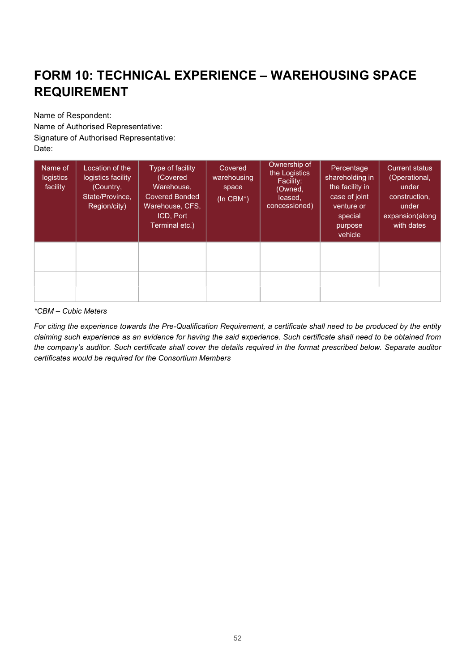## FORM 10: TECHNICAL EXPERIENCE – WAREHOUSING SPACE REQUIREMENT

Name of Respondent: Name of Authorised Representative: Signature of Authorised Representative: Date:

| Name of<br><b>logistics</b><br>facility | Location of the<br>logistics facility<br>(Country,<br>State/Province,<br>Region/city) | Type of facility<br>(Covered<br>Warehouse,<br><b>Covered Bonded</b><br>Warehouse, CFS,<br>ICD, Port<br>Terminal etc.) | Covered<br>warehousing<br>space<br>$(ln$ CBM*) | Ownership of<br>the Logistics<br>Facility:<br>(Owned,<br>leased.<br>concessioned) | Percentage<br>shareholding in<br>the facility in<br>case of joint<br>venture or<br>special<br>purpose<br>vehicle | <b>Current status</b><br>(Operational,<br>under<br>construction.<br>under<br>expansion(along<br>with dates |
|-----------------------------------------|---------------------------------------------------------------------------------------|-----------------------------------------------------------------------------------------------------------------------|------------------------------------------------|-----------------------------------------------------------------------------------|------------------------------------------------------------------------------------------------------------------|------------------------------------------------------------------------------------------------------------|
|                                         |                                                                                       |                                                                                                                       |                                                |                                                                                   |                                                                                                                  |                                                                                                            |
|                                         |                                                                                       |                                                                                                                       |                                                |                                                                                   |                                                                                                                  |                                                                                                            |
|                                         |                                                                                       |                                                                                                                       |                                                |                                                                                   |                                                                                                                  |                                                                                                            |
|                                         |                                                                                       |                                                                                                                       |                                                |                                                                                   |                                                                                                                  |                                                                                                            |

#### \*CBM – Cubic Meters

For citing the experience towards the Pre-Qualification Requirement, a certificate shall need to be produced by the entity claiming such experience as an evidence for having the said experience. Such certificate shall need to be obtained from the company's auditor. Such certificate shall cover the details required in the format prescribed below. Separate auditor certificates would be required for the Consortium Members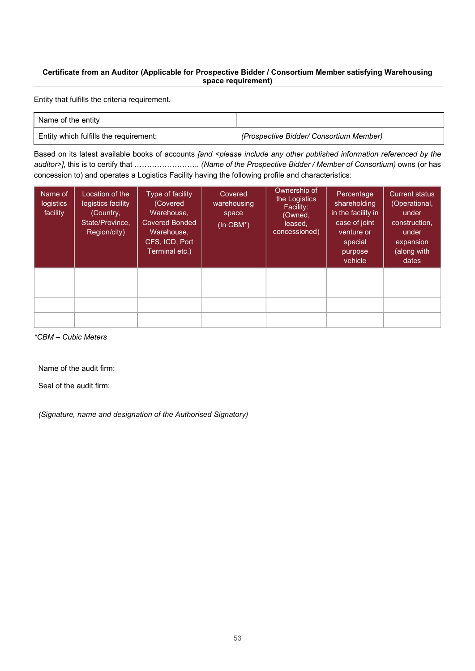#### Certificate from an Auditor (Applicable for Prospective Bidder / Consortium Member satisfying Warehousing space requirement)

Entity that fulfills the criteria requirement.

| Name of the entity                     |                                         |
|----------------------------------------|-----------------------------------------|
| Entity which fulfills the requirement: | (Prospective Bidder/ Consortium Member) |

Based on its latest available books of accounts [and <please include any other published information referenced by the auditor>], this is to certify that …………………….. (Name of the Prospective Bidder / Member of Consortium) owns (or has concession to) and operates a Logistics Facility having the following profile and characteristics:

| Name of<br>logistics<br>facility | Location of the<br>logistics facility<br>(Country,<br>State/Province,<br>Region/city) | Type of facility<br>(Covered<br>Warehouse,<br><b>Covered Bonded</b><br>Warehouse,<br>CFS, ICD, Port<br>Terminal etc.) | Covered<br>warehousing<br>space<br>$(In CBM*)$ | Ownership of<br>the Logistics<br>Facility:<br>(Owned,<br>leased,<br>concessioned) | Percentage<br>shareholding<br>in the facility in<br>case of joint<br>venture or<br>special<br>purpose<br>vehicle | <b>Current status</b><br>(Operational,<br>under<br>construction.<br>under<br>expansion<br>(along with<br>dates |
|----------------------------------|---------------------------------------------------------------------------------------|-----------------------------------------------------------------------------------------------------------------------|------------------------------------------------|-----------------------------------------------------------------------------------|------------------------------------------------------------------------------------------------------------------|----------------------------------------------------------------------------------------------------------------|
|                                  |                                                                                       |                                                                                                                       |                                                |                                                                                   |                                                                                                                  |                                                                                                                |
|                                  |                                                                                       |                                                                                                                       |                                                |                                                                                   |                                                                                                                  |                                                                                                                |
|                                  |                                                                                       |                                                                                                                       |                                                |                                                                                   |                                                                                                                  |                                                                                                                |
|                                  |                                                                                       |                                                                                                                       |                                                |                                                                                   |                                                                                                                  |                                                                                                                |

\*CBM – Cubic Meters

Name of the audit firm:

Seal of the audit firm:

(Signature, name and designation of the Authorised Signatory)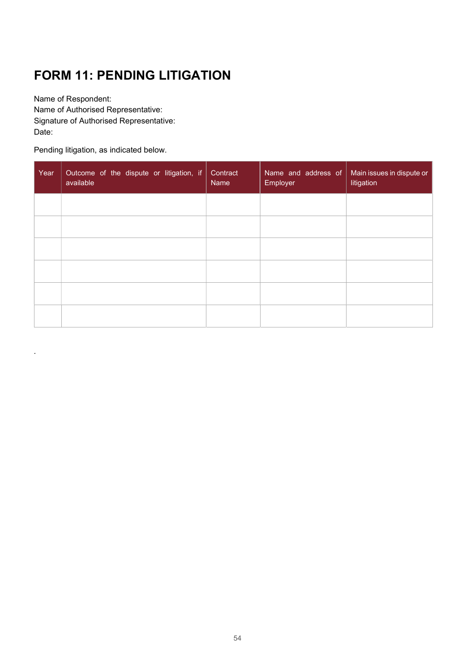## FORM 11: PENDING LITIGATION

Name of Respondent: Name of Authorised Representative: Signature of Authorised Representative: Date:

Pending litigation, as indicated below.

.

| Year | Outcome of the dispute or litigation, if<br>available | Contract<br>Name | Name and address of<br>Employer | Main issues in dispute or<br>litigation |
|------|-------------------------------------------------------|------------------|---------------------------------|-----------------------------------------|
|      |                                                       |                  |                                 |                                         |
|      |                                                       |                  |                                 |                                         |
|      |                                                       |                  |                                 |                                         |
|      |                                                       |                  |                                 |                                         |
|      |                                                       |                  |                                 |                                         |
|      |                                                       |                  |                                 |                                         |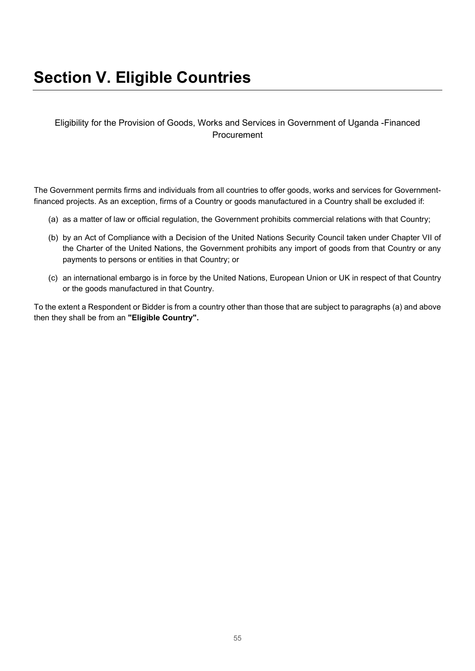## Section V. Eligible Countries

#### Eligibility for the Provision of Goods, Works and Services in Government of Uganda -Financed **Procurement**

The Government permits firms and individuals from all countries to offer goods, works and services for Governmentfinanced projects. As an exception, firms of a Country or goods manufactured in a Country shall be excluded if:

- (a) as a matter of law or official regulation, the Government prohibits commercial relations with that Country;
- (b) by an Act of Compliance with a Decision of the United Nations Security Council taken under Chapter VII of the Charter of the United Nations, the Government prohibits any import of goods from that Country or any payments to persons or entities in that Country; or
- (c) an international embargo is in force by the United Nations, European Union or UK in respect of that Country or the goods manufactured in that Country.

To the extent a Respondent or Bidder is from a country other than those that are subject to paragraphs (a) and above then they shall be from an "Eligible Country".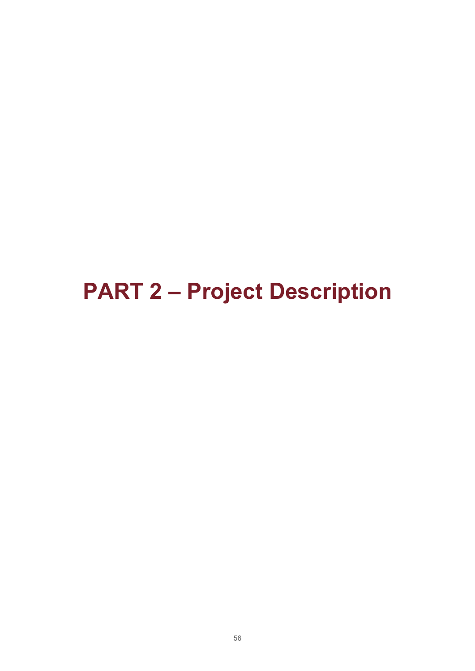## PART 2 – Project Description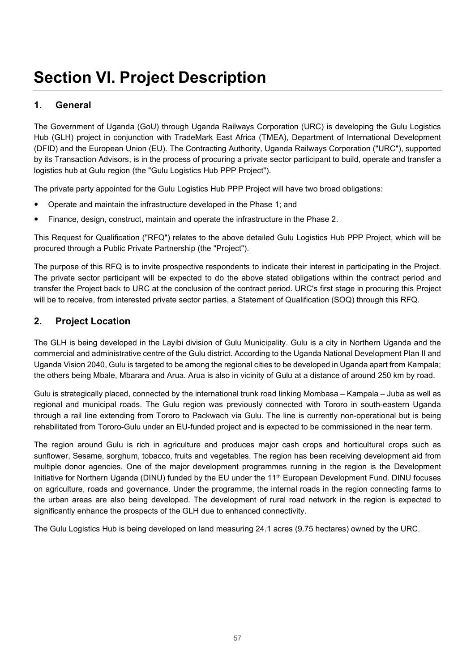## Section VI. Project Description

#### 1. General

The Government of Uganda (GoU) through Uganda Railways Corporation (URC) is developing the Gulu Logistics Hub (GLH) project in conjunction with TradeMark East Africa (TMEA), Department of International Development (DFID) and the European Union (EU). The Contracting Authority, Uganda Railways Corporation ("URC"), supported by its Transaction Advisors, is in the process of procuring a private sector participant to build, operate and transfer a logistics hub at Gulu region (the "Gulu Logistics Hub PPP Project").

The private party appointed for the Gulu Logistics Hub PPP Project will have two broad obligations:

- Operate and maintain the infrastructure developed in the Phase 1; and
- Finance, design, construct, maintain and operate the infrastructure in the Phase 2.

This Request for Qualification ("RFQ") relates to the above detailed Gulu Logistics Hub PPP Project, which will be procured through a Public Private Partnership (the "Project").

The purpose of this RFQ is to invite prospective respondents to indicate their interest in participating in the Project. The private sector participant will be expected to do the above stated obligations within the contract period and transfer the Project back to URC at the conclusion of the contract period. URC's first stage in procuring this Project will be to receive, from interested private sector parties, a Statement of Qualification (SOQ) through this RFQ.

#### 2. Project Location

The GLH is being developed in the Layibi division of Gulu Municipality. Gulu is a city in Northern Uganda and the commercial and administrative centre of the Gulu district. According to the Uganda National Development Plan II and Uganda Vision 2040, Gulu is targeted to be among the regional cities to be developed in Uganda apart from Kampala; the others being Mbale, Mbarara and Arua. Arua is also in vicinity of Gulu at a distance of around 250 km by road.

Gulu is strategically placed, connected by the international trunk road linking Mombasa – Kampala – Juba as well as regional and municipal roads. The Gulu region was previously connected with Tororo in south-eastern Uganda through a rail line extending from Tororo to Packwach via Gulu. The line is currently non-operational but is being rehabilitated from Tororo-Gulu under an EU-funded project and is expected to be commissioned in the near term.

The region around Gulu is rich in agriculture and produces major cash crops and horticultural crops such as sunflower, Sesame, sorghum, tobacco, fruits and vegetables. The region has been receiving development aid from multiple donor agencies. One of the major development programmes running in the region is the Development Initiative for Northern Uganda (DINU) funded by the EU under the 11<sup>th</sup> European Development Fund. DINU focuses on agriculture, roads and governance. Under the programme, the internal roads in the region connecting farms to the urban areas are also being developed. The development of rural road network in the region is expected to significantly enhance the prospects of the GLH due to enhanced connectivity.

The Gulu Logistics Hub is being developed on land measuring 24.1 acres (9.75 hectares) owned by the URC.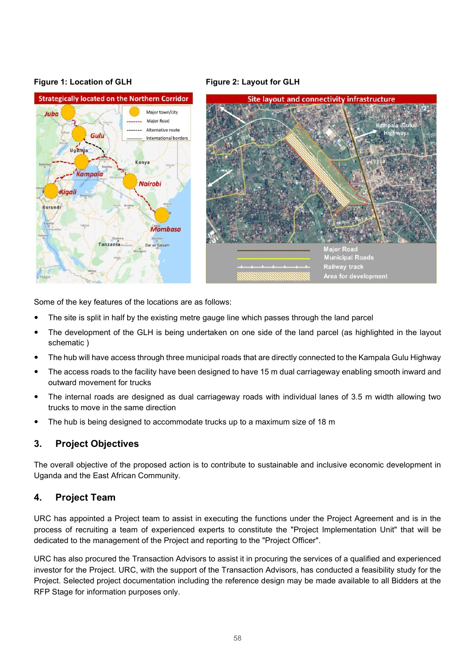#### Figure 1: Location of GLH Figure 2: Layout for GLH





Some of the key features of the locations are as follows:

- The site is split in half by the existing metre gauge line which passes through the land parcel
- The development of the GLH is being undertaken on one side of the land parcel (as highlighted in the layout schematic )
- The hub will have access through three municipal roads that are directly connected to the Kampala Gulu Highway
- The access roads to the facility have been designed to have 15 m dual carriageway enabling smooth inward and outward movement for trucks
- The internal roads are designed as dual carriageway roads with individual lanes of 3.5 m width allowing two trucks to move in the same direction
- The hub is being designed to accommodate trucks up to a maximum size of 18 m

#### 3. Project Objectives

The overall objective of the proposed action is to contribute to sustainable and inclusive economic development in Uganda and the East African Community.

#### 4. Project Team

URC has appointed a Project team to assist in executing the functions under the Project Agreement and is in the process of recruiting a team of experienced experts to constitute the "Project Implementation Unit" that will be dedicated to the management of the Project and reporting to the "Project Officer".

URC has also procured the Transaction Advisors to assist it in procuring the services of a qualified and experienced investor for the Project. URC, with the support of the Transaction Advisors, has conducted a feasibility study for the Project. Selected project documentation including the reference design may be made available to all Bidders at the RFP Stage for information purposes only.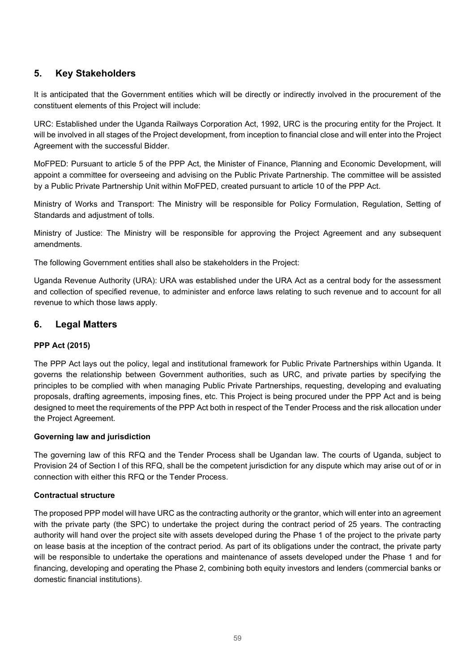#### 5. Key Stakeholders

It is anticipated that the Government entities which will be directly or indirectly involved in the procurement of the constituent elements of this Project will include:

URC: Established under the Uganda Railways Corporation Act, 1992, URC is the procuring entity for the Project. It will be involved in all stages of the Project development, from inception to financial close and will enter into the Project Agreement with the successful Bidder.

MoFPED: Pursuant to article 5 of the PPP Act, the Minister of Finance, Planning and Economic Development, will appoint a committee for overseeing and advising on the Public Private Partnership. The committee will be assisted by a Public Private Partnership Unit within MoFPED, created pursuant to article 10 of the PPP Act.

Ministry of Works and Transport: The Ministry will be responsible for Policy Formulation, Regulation, Setting of Standards and adjustment of tolls.

Ministry of Justice: The Ministry will be responsible for approving the Project Agreement and any subsequent amendments.

The following Government entities shall also be stakeholders in the Project:

Uganda Revenue Authority (URA): URA was established under the URA Act as a central body for the assessment and collection of specified revenue, to administer and enforce laws relating to such revenue and to account for all revenue to which those laws apply.

#### 6. Legal Matters

#### PPP Act (2015)

The PPP Act lays out the policy, legal and institutional framework for Public Private Partnerships within Uganda. It governs the relationship between Government authorities, such as URC, and private parties by specifying the principles to be complied with when managing Public Private Partnerships, requesting, developing and evaluating proposals, drafting agreements, imposing fines, etc. This Project is being procured under the PPP Act and is being designed to meet the requirements of the PPP Act both in respect of the Tender Process and the risk allocation under the Project Agreement.

#### Governing law and jurisdiction

The governing law of this RFQ and the Tender Process shall be Ugandan law. The courts of Uganda, subject to Provision 24 of Section I of this RFQ, shall be the competent jurisdiction for any dispute which may arise out of or in connection with either this RFQ or the Tender Process.

#### Contractual structure

The proposed PPP model will have URC as the contracting authority or the grantor, which will enter into an agreement with the private party (the SPC) to undertake the project during the contract period of 25 years. The contracting authority will hand over the project site with assets developed during the Phase 1 of the project to the private party on lease basis at the inception of the contract period. As part of its obligations under the contract, the private party will be responsible to undertake the operations and maintenance of assets developed under the Phase 1 and for financing, developing and operating the Phase 2, combining both equity investors and lenders (commercial banks or domestic financial institutions).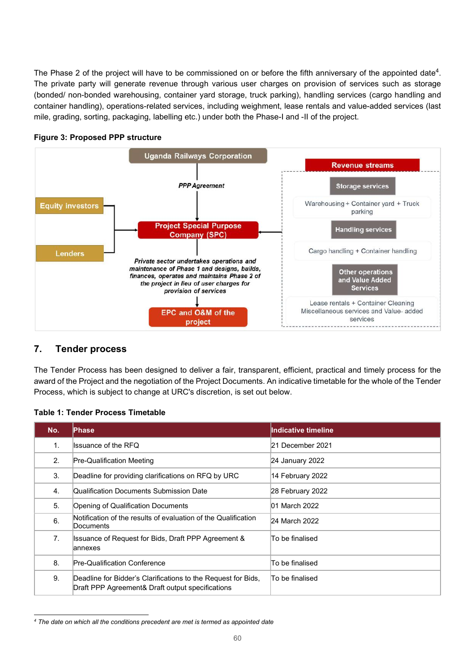The Phase 2 of the project will have to be commissioned on or before the fifth anniversary of the appointed date<sup>4</sup>. The private party will generate revenue through various user charges on provision of services such as storage (bonded/ non-bonded warehousing, container yard storage, truck parking), handling services (cargo handling and container handling), operations-related services, including weighment, lease rentals and value-added services (last mile, grading, sorting, packaging, labelling etc.) under both the Phase-I and -II of the project.



#### Figure 3: Proposed PPP structure

#### 7. Tender process

The Tender Process has been designed to deliver a fair, transparent, efficient, practical and timely process for the award of the Project and the negotiation of the Project Documents. An indicative timetable for the whole of the Tender Process, which is subject to change at URC's discretion, is set out below.

| No. | <b>Phase</b>                                                                                                      | Indicative timeline |
|-----|-------------------------------------------------------------------------------------------------------------------|---------------------|
| 1.  | Issuance of the RFQ                                                                                               | 21 December 2021    |
| 2.  | Pre-Qualification Meeting                                                                                         | 24 January 2022     |
| 3.  | Deadline for providing clarifications on RFQ by URC                                                               | 14 February 2022    |
| 4.  | Qualification Documents Submission Date                                                                           | 28 February 2022    |
| 5.  | Opening of Qualification Documents                                                                                | 01 March 2022       |
| 6.  | Notification of the results of evaluation of the Qualification<br>Documents                                       | 24 March 2022       |
| 7.  | Issuance of Request for Bids, Draft PPP Agreement &<br>lannexes                                                   | To be finalised     |
| 8.  | Pre-Qualification Conference                                                                                      | To be finalised     |
| 9.  | Deadline for Bidder's Clarifications to the Request for Bids,<br>Draft PPP Agreement& Draft output specifications | To be finalised     |

#### Table 1: Tender Process Timetable

<sup>&</sup>lt;sup>4</sup> The date on which all the conditions precedent are met is termed as appointed date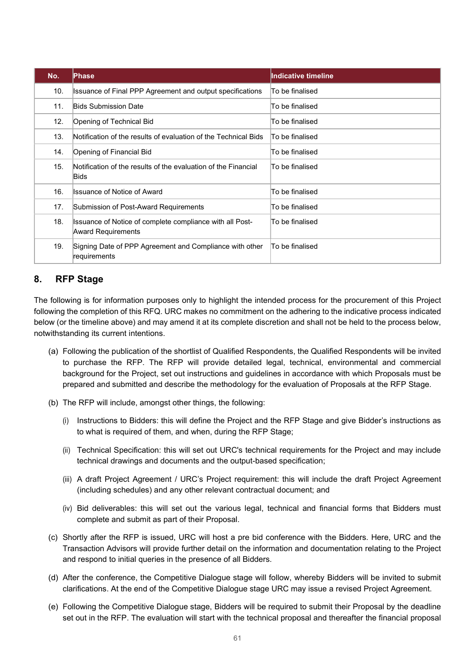| No. | Phase                                                                          | Indicative timeline |
|-----|--------------------------------------------------------------------------------|---------------------|
| 10. | Issuance of Final PPP Agreement and output specifications                      | To be finalised     |
| 11. | <b>Bids Submission Date</b>                                                    | To be finalised     |
| 12. | Opening of Technical Bid                                                       | To be finalised     |
| 13. | Notification of the results of evaluation of the Technical Bids                | To be finalised     |
| 14. | Opening of Financial Bid                                                       | To be finalised     |
| 15. | Notification of the results of the evaluation of the Financial<br>Bids         | To be finalised.    |
| 16. | Issuance of Notice of Award                                                    | To be finalised     |
| 17. | Submission of Post-Award Requirements                                          | To be finalised     |
| 18. | Issuance of Notice of complete compliance with all Post-<br>Award Requirements | To be finalised     |
| 19. | Signing Date of PPP Agreement and Compliance with other<br>requirements        | To be finalised     |

#### 8. RFP Stage

The following is for information purposes only to highlight the intended process for the procurement of this Project following the completion of this RFQ. URC makes no commitment on the adhering to the indicative process indicated below (or the timeline above) and may amend it at its complete discretion and shall not be held to the process below, notwithstanding its current intentions.

- (a) Following the publication of the shortlist of Qualified Respondents, the Qualified Respondents will be invited to purchase the RFP. The RFP will provide detailed legal, technical, environmental and commercial background for the Project, set out instructions and guidelines in accordance with which Proposals must be prepared and submitted and describe the methodology for the evaluation of Proposals at the RFP Stage.
- (b) The RFP will include, amongst other things, the following:
	- (i) Instructions to Bidders: this will define the Project and the RFP Stage and give Bidder's instructions as to what is required of them, and when, during the RFP Stage;
	- (ii) Technical Specification: this will set out URC's technical requirements for the Project and may include technical drawings and documents and the output-based specification;
	- (iii) A draft Project Agreement / URC's Project requirement: this will include the draft Project Agreement (including schedules) and any other relevant contractual document; and
	- (iv) Bid deliverables: this will set out the various legal, technical and financial forms that Bidders must complete and submit as part of their Proposal.
- (c) Shortly after the RFP is issued, URC will host a pre bid conference with the Bidders. Here, URC and the Transaction Advisors will provide further detail on the information and documentation relating to the Project and respond to initial queries in the presence of all Bidders.
- (d) After the conference, the Competitive Dialogue stage will follow, whereby Bidders will be invited to submit clarifications. At the end of the Competitive Dialogue stage URC may issue a revised Project Agreement.
- (e) Following the Competitive Dialogue stage, Bidders will be required to submit their Proposal by the deadline set out in the RFP. The evaluation will start with the technical proposal and thereafter the financial proposal